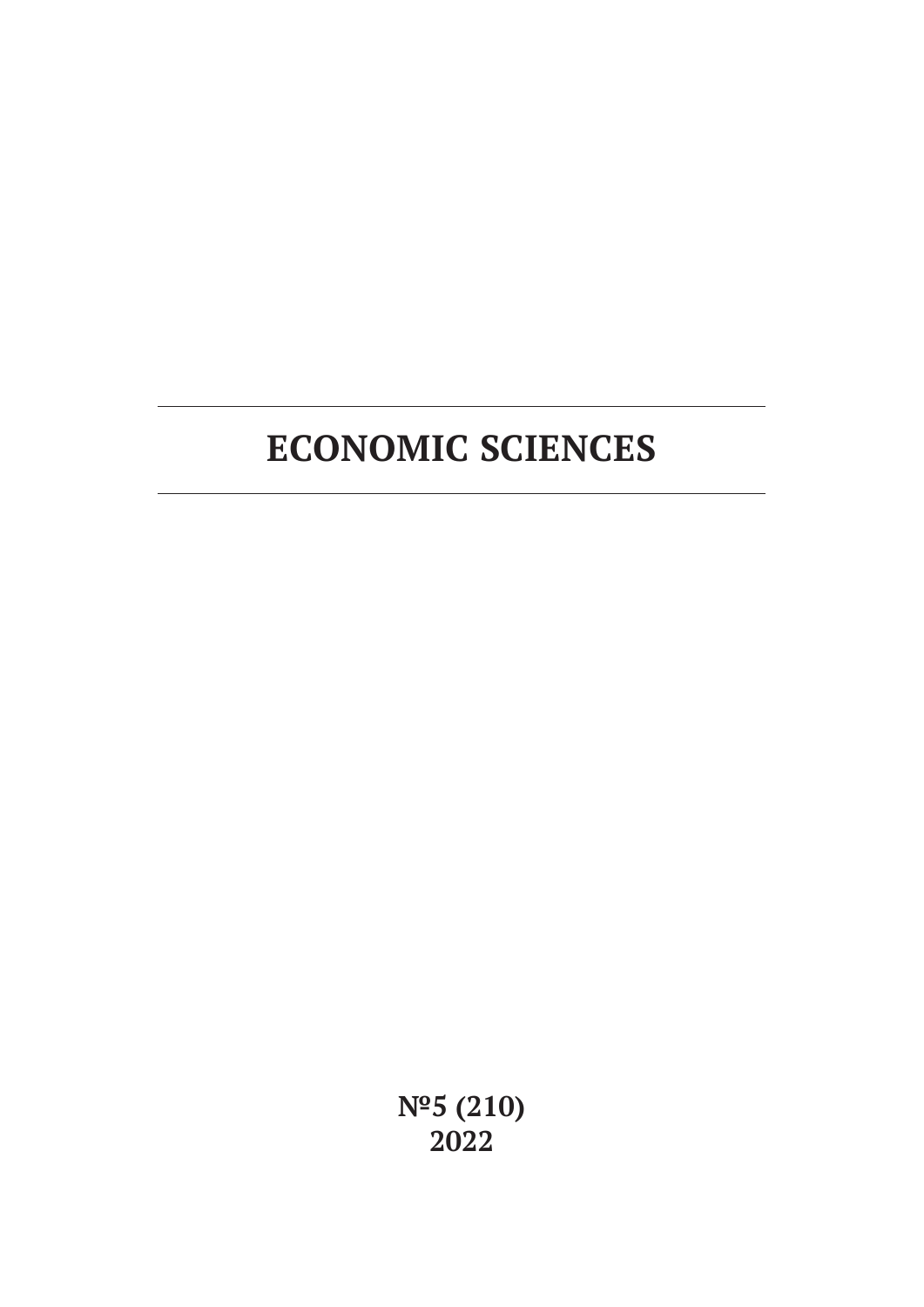# **ECONOMIC SCIENCES**

**№5 (210) 2022**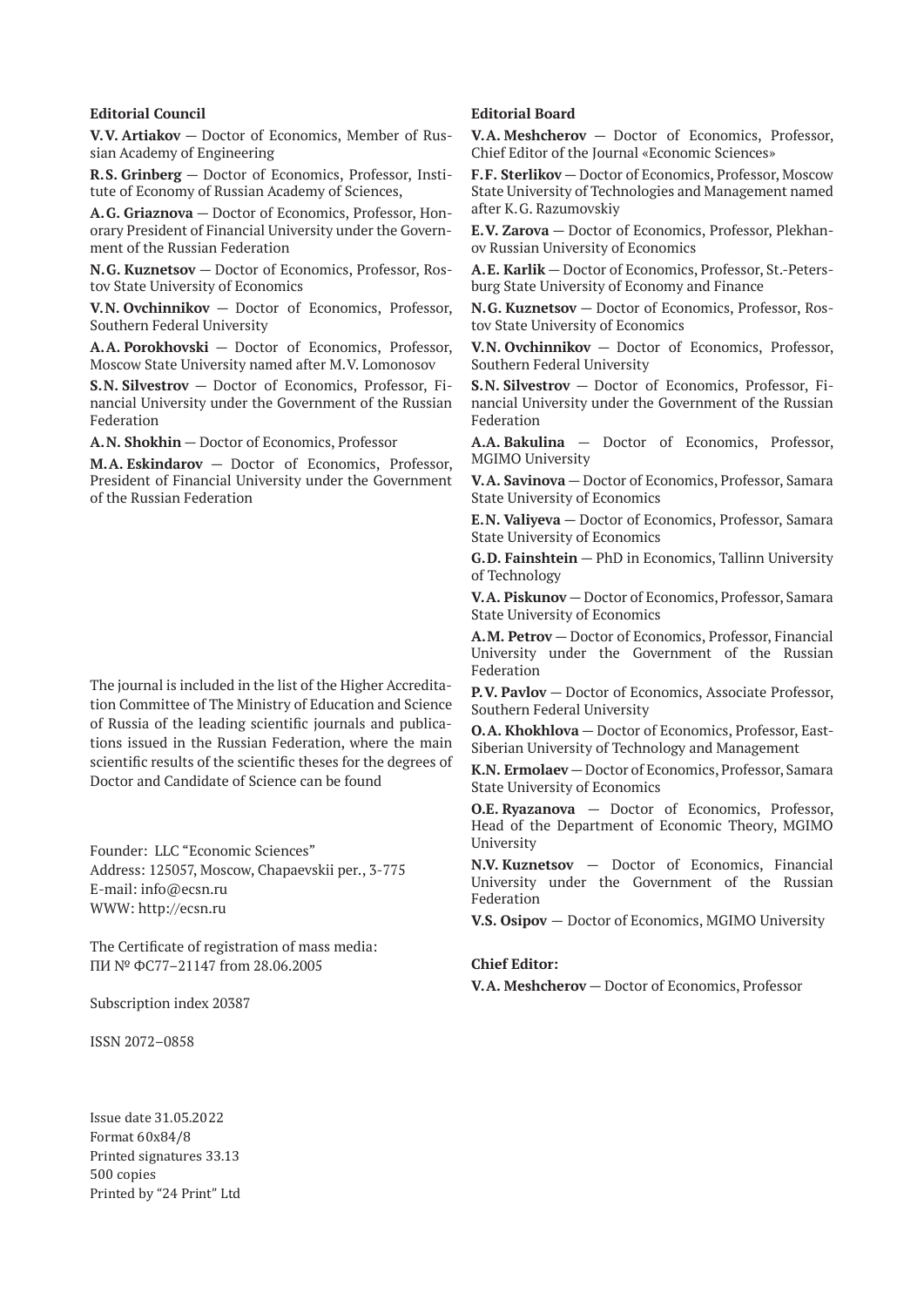#### **Editorial Council**

**V.V. Artiakov** — Doctor of Economics, Member of Russian Academy of Engineering

**R.S. Grinberg** — Doctor of Economics, Professor, Institute of Economy of Russian Academy of Sciences,

**A.G. Griaznova** — Doctor of Economics, Professor, Honorary President of Financial University under the Government of the Russian Federation

**N.G. Kuznetsov** — Doctor of Economics, Professor, Rostov State University of Economics

**V.N. Ovchinnikov** — Doctor of Economics, Professor, Southern Federal University

**A.A. Porokhovski** — Doctor of Economics, Professor, Moscow State University named after M.V. Lomonosov

**S.N. Silvestrov** — Doctor of Economics, Professor, Financial University under the Government of the Russian Federation

**A.N. Shokhin** — Doctor of Economics, Professor

**M.A. Eskindarov** — Doctor of Economics, Professor, President of Financial University under the Government of the Russian Federation

The journal is included in the list of the Higher Accreditation Committee of The Ministry of Education and Science of Russia of the leading scientific journals and publications issued in the Russian Federation, where the main scientific results of the scientific theses for the degrees of Doctor and Candidate of Science can be found

Founder: LLC "Economic Sciences" Address: 125057, Moscow, Chapaevskii per., 3-775 E-mail: info@ecsn.ru WWW: http://ecsn.ru

The Certificate of registration of mass media: ПИ № ФС77–21147 from 28.06.2005

Subscription index 20387

ISSN 2072–0858

Issue date 31.05.2022 Format 60х84/8 Printed signatures 33.13 500 copies Printed by "24 Print" Ltd

#### **Editorial Board**

**V.A. Meshcherov** — Doctor of Economics, Professor, Chief Editor of the Journal «Economic Sciences»

**F.F. Sterlikov** — Doctor of Economics, Professor, Moscow State University of Technologies and Management named after K.G. Razumovskiy

**E.V. Zarova** — Doctor of Economics, Professor, Plekhanov Russian University of Economics

**A.E. Karlik** — Doctor of Economics, Professor, St.-Petersburg State University of Economy and Finance

**N.G. Kuznetsov** — Doctor of Economics, Professor, Rostov State University of Economics

**V.N. Ovchinnikov** — Doctor of Economics, Professor, Southern Federal University

**S.N. Silvestrov** — Doctor of Economics, Professor, Financial University under the Government of the Russian Federation

**A.A. Bakulina** — Doctor of Economics, Professor, MGIMO University

**V.A. Savinova** — Doctor of Economics, Professor, Samara State University of Economics

**E.N. Valiyeva** — Doctor of Economics, Professor, Samara State University of Economics

**G.D. Fainshtein** — PhD in Economics, Tallinn University of Technology

**V.A. Piskunov** — Doctor of Economics, Professor, Samara State University of Economics

**A.M. Petrov** — Doctor of Economics, Professor, Financial University under the Government of the Russian Federation

**P.V. Pavlov** — Doctor of Economics, Associate Professor, Southern Federal University

**O.A. Khokhlova** — Doctor of Economics, Professor, East-Siberian University of Technology and Management

**K.N. Ermolaev** — Doctor of Economics, Professor, Samara State University of Economics

**O.E. Ryazanova** — Doctor of Economics, Professor, Head of the Department of Economic Theory, MGIMO University

**N.V. Kuznetsov** — Doctor of Economics, Financial University under the Government of the Russian Federation

**V.S. Osipov** — Doctor of Economics, MGIMO University

#### **Chief Editor:**

**V.A. Meshcherov** — Doctor of Economics, Professor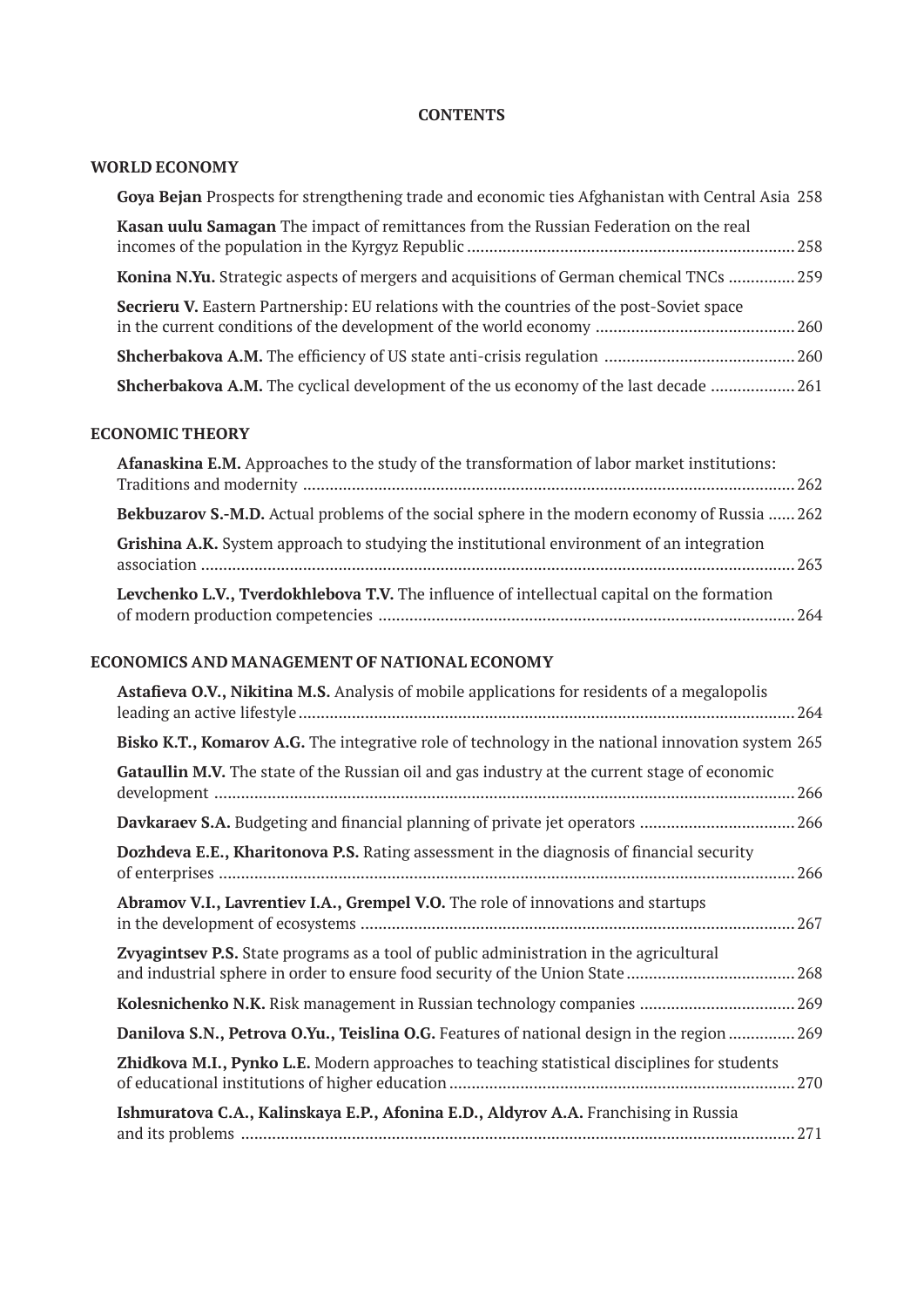### **CONTENTS**

# **WORLD ECONOMY**

| Goya Bejan Prospects for strengthening trade and economic ties Afghanistan with Central Asia 258 |  |
|--------------------------------------------------------------------------------------------------|--|
| Kasan uulu Samagan The impact of remittances from the Russian Federation on the real             |  |
| Konina N.Yu. Strategic aspects of mergers and acquisitions of German chemical TNCs  259          |  |
| <b>Secrieru V.</b> Eastern Partnership: EU relations with the countries of the post-Soviet space |  |
|                                                                                                  |  |
| <b>Shcherbakova A.M.</b> The cyclical development of the us economy of the last decade  261      |  |

# **ECONOMIC THEORY**

| Afanaskina E.M. Approaches to the study of the transformation of labor market institutions:         |  |
|-----------------------------------------------------------------------------------------------------|--|
| <b>Bekbuzarov S.-M.D.</b> Actual problems of the social sphere in the modern economy of Russia  262 |  |
| <b>Grishina A.K.</b> System approach to studying the institutional environment of an integration    |  |
| Levchenko L.V., Tverdokhlebova T.V. The influence of intellectual capital on the formation          |  |

### **ECONOMICS AND MANAGEMENT OF NATIONAL ECONOMY**

| Astafieva O.V., Nikitina M.S. Analysis of mobile applications for residents of a megalopolis         |
|------------------------------------------------------------------------------------------------------|
| Bisko K.T., Komarov A.G. The integrative role of technology in the national innovation system 265    |
| Gataullin M.V. The state of the Russian oil and gas industry at the current stage of economic<br>266 |
| Davkaraev S.A. Budgeting and financial planning of private jet operators  266                        |
| Dozhdeva E.E., Kharitonova P.S. Rating assessment in the diagnosis of financial security             |
| Abramov V.I., Lavrentiev I.A., Grempel V.O. The role of innovations and startups<br>267              |
| Zvyagintsev P.S. State programs as a tool of public administration in the agricultural               |
| Kolesnichenko N.K. Risk management in Russian technology companies  269                              |
| Danilova S.N., Petrova O.Yu., Teislina O.G. Features of national design in the region  269           |
| Zhidkova M.I., Pynko L.E. Modern approaches to teaching statistical disciplines for students<br>270  |
| Ishmuratova C.A., Kalinskaya E.P., Afonina E.D., Aldyrov A.A. Franchising in Russia                  |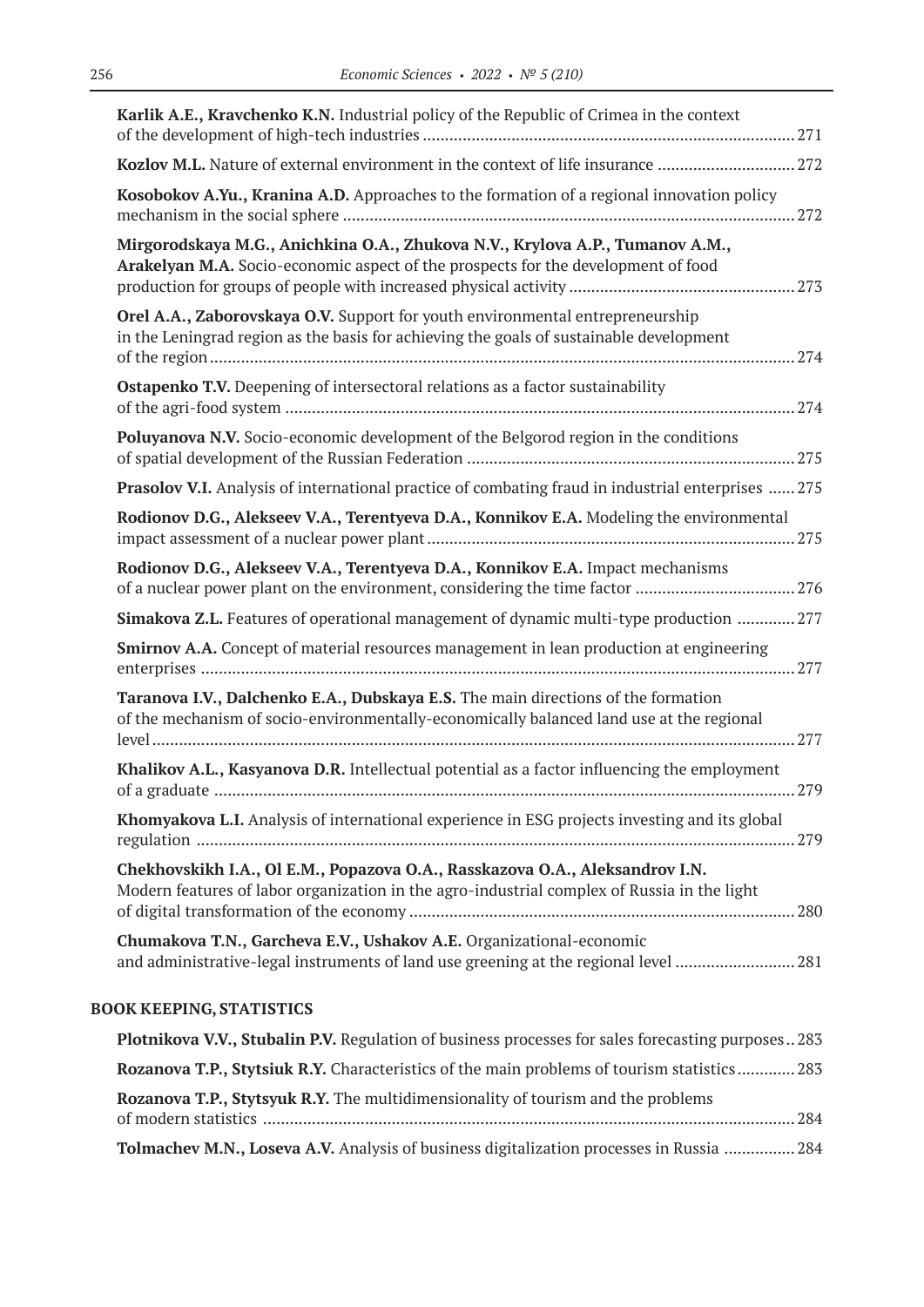| Karlik A.E., Kravchenko K.N. Industrial policy of the Republic of Crimea in the context                                                                                       |  |
|-------------------------------------------------------------------------------------------------------------------------------------------------------------------------------|--|
| Kozlov M.L. Nature of external environment in the context of life insurance 272                                                                                               |  |
| Kosobokov A.Yu., Kranina A.D. Approaches to the formation of a regional innovation policy                                                                                     |  |
| Mirgorodskaya M.G., Anichkina O.A., Zhukova N.V., Krylova A.P., Tumanov A.M.,<br>Arakelyan M.A. Socio-economic aspect of the prospects for the development of food            |  |
| Orel A.A., Zaborovskaya O.V. Support for youth environmental entrepreneurship<br>in the Leningrad region as the basis for achieving the goals of sustainable development      |  |
| Ostapenko T.V. Deepening of intersectoral relations as a factor sustainability                                                                                                |  |
| <b>Poluyanova N.V.</b> Socio-economic development of the Belgorod region in the conditions                                                                                    |  |
| Prasolov V.I. Analysis of international practice of combating fraud in industrial enterprises  275                                                                            |  |
| Rodionov D.G., Alekseev V.A., Terentyeva D.A., Konnikov E.A. Modeling the environmental                                                                                       |  |
| Rodionov D.G., Alekseev V.A., Terentyeva D.A., Konnikov E.A. Impact mechanisms                                                                                                |  |
| Simakova Z.L. Features of operational management of dynamic multi-type production  277                                                                                        |  |
| <b>Smirnov A.A.</b> Concept of material resources management in lean production at engineering                                                                                |  |
| Taranova I.V., Dalchenko E.A., Dubskaya E.S. The main directions of the formation<br>of the mechanism of socio-environmentally-economically balanced land use at the regional |  |
| Khalikov A.L., Kasyanova D.R. Intellectual potential as a factor influencing the employment                                                                                   |  |
| Khomyakova L.I. Analysis of international experience in ESG projects investing and its global                                                                                 |  |
| Chekhovskikh I.A., Ol E.M., Popazova O.A., Rasskazova O.A., Aleksandrov I.N.<br>Modern features of labor organization in the agro-industrial complex of Russia in the light   |  |
| Chumakova T.N., Garcheva E.V., Ushakov A.E. Organizational-economic<br>and administrative-legal instruments of land use greening at the regional level  281                   |  |
| <b>BOOK KEEPING, STATISTICS</b>                                                                                                                                               |  |
| <b>Plotnikova V.V., Stubalin P.V.</b> Regulation of business processes for sales forecasting purposes  283                                                                    |  |
| Rozanova T.P., Stytsiuk R.Y. Characteristics of the main problems of tourism statistics  283                                                                                  |  |
| Rozanova T.P., Stytsyuk R.Y. The multidimensionality of tourism and the problems                                                                                              |  |
|                                                                                                                                                                               |  |

**Tolmachev M.N., Loseva A.V.** Analysis of business digitalization processes in Russia ................ 284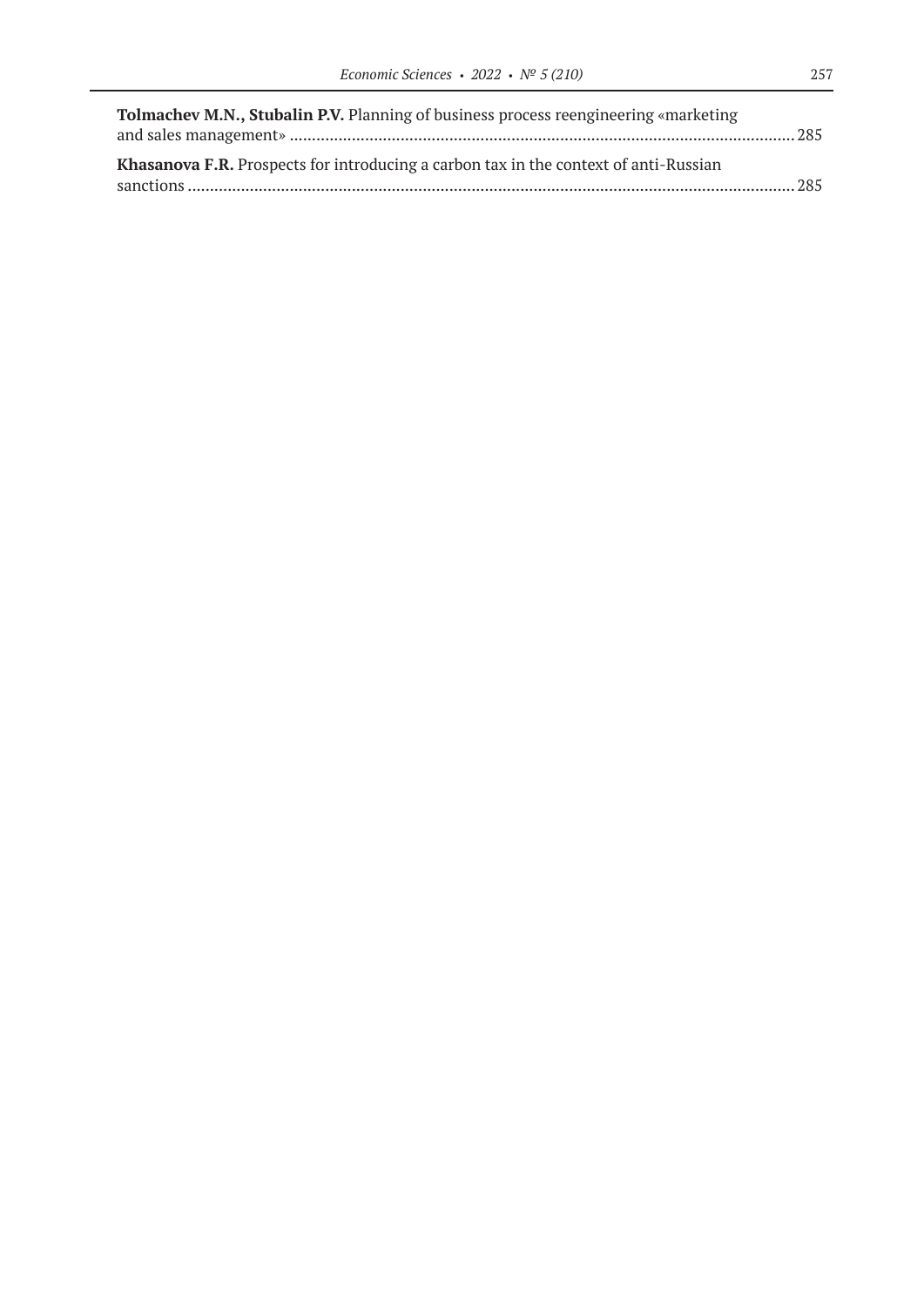| Tolmachev M.N., Stubalin P.V. Planning of business process reengineering «marketing         |  |
|---------------------------------------------------------------------------------------------|--|
|                                                                                             |  |
| <b>Khasanova F.R.</b> Prospects for introducing a carbon tax in the context of anti-Russian |  |
|                                                                                             |  |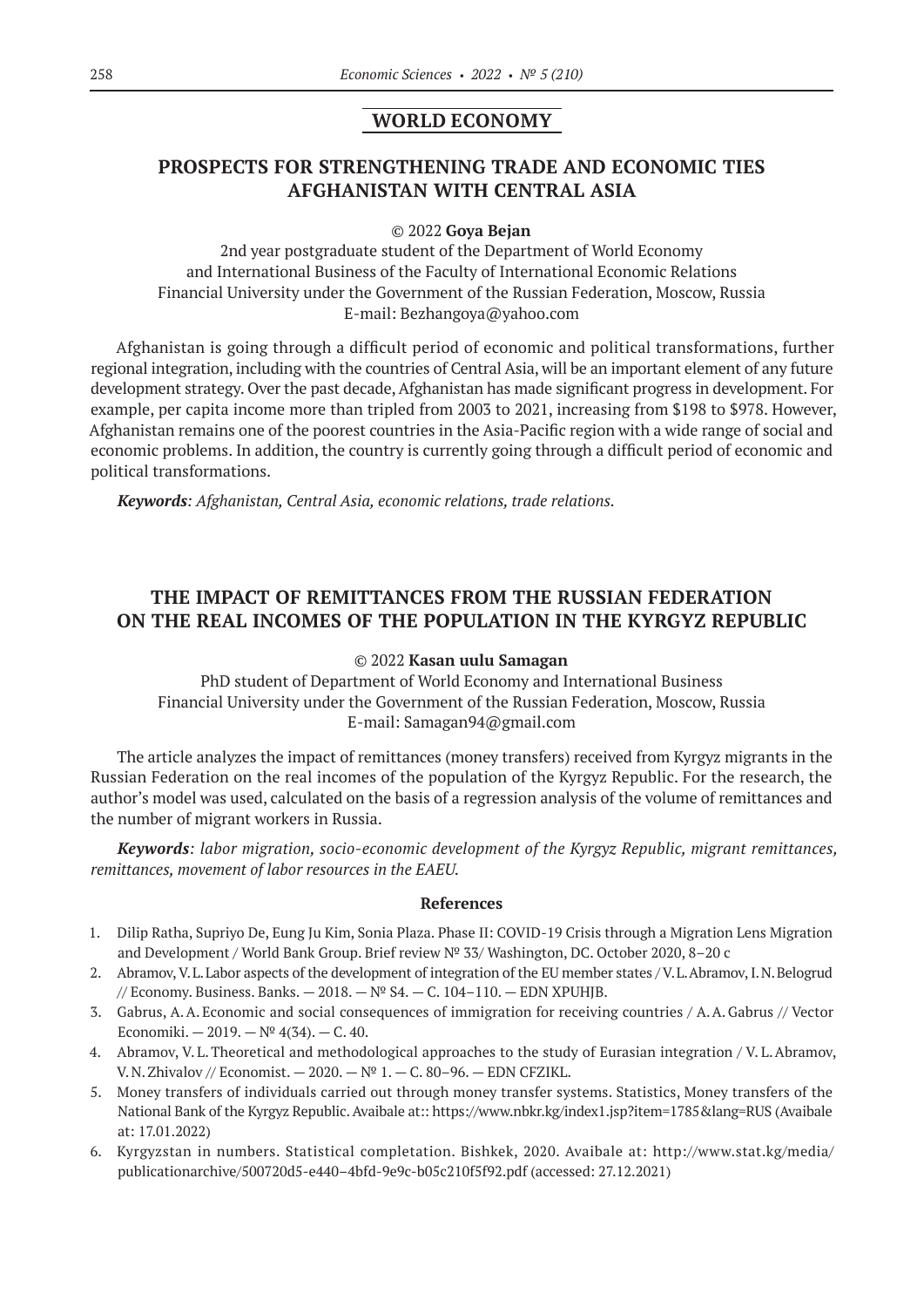### **WORLD ECONOMY**

# **PROSPECTS FOR STRENGTHENING TRADE AND ECONOMIC TIES АFGHANISTAN WITH СENTRAL АSIA**

#### © 2022 **Goya Bejan**

2nd year postgraduate student of the Department of World Economy and International Business of the Faculty of International Economic Relations Financial University under the Government of the Russian Federation, Moscow, Russia E-mail: Bezhangoya@yahoo.com

Afghanistan is going through a difficult period of economic and political transformations, further regional integration, including with the countries of Central Asia, will be an important element of any future development strategy. Over the past decade, Afghanistan has made significant progress in development. For example, per capita income more than tripled from 2003 to 2021, increasing from \$198 to \$978. However, Afghanistan remains one of the poorest countries in the Asia-Pacific region with a wide range of social and economic problems. In addition, the country is currently going through a difficult period of economic and political transformations.

*Keywords: Afghanistan, Central Asia, economic relations, trade relations.*

# **THE IMPACT OF REMITTANCES FROM THE RUSSIAN FEDERATION ON THE REAL INCOMES OF THE POPULATION IN THE KYRGYZ REPUBLIC**

#### © 2022 **Kasan uulu Samagan**

PhD student of Department of World Economy and International Business Financial University under the Government of the Russian Federation, Moscow, Russia E-mail: Samagan94@gmail.com

The article analyzes the impact of remittances (money transfers) received from Kyrgyz migrants in the Russian Federation on the real incomes of the population of the Kyrgyz Republic. For the research, the author's model was used, calculated on the basis of a regression analysis of the volume of remittances and the number of migrant workers in Russia.

*Keywords: labor migration, socio-economic development of the Kyrgyz Republic, migrant remittances, remittances, movement of labor resources in the EAEU.*

#### **References**

- 1. Dilip Ratha, Supriyo De, Eung Ju Kim, Sonia Plaza. Phase II: COVID‑19 Crisis through a Migration Lens Migration and Development / World Bank Group. Brief review № 33/ Washington, DC. October 2020, 8–20 с
- 2. Abramov, V.L.Labor aspects of the development of integration of the EU member states / V.L.Abramov, I.N.Belogrud // Economy. Business. Banks.  $- 2018. - N^{\circ} S4. - C. 104-110. - EDN XPUHJB.$
- 3. Gabrus, A.A. Economic and social consequences of immigration for receiving countries / A.A.Gabrus // Vector Economiki.  $-2019. - N^{\circ} 4(34)$ .  $- C. 40$ .
- 4. Abramov, V. L.Theoretical and methodological approaches to the study of Eurasian integration / V. L.Abramov, V. N. Zhivalov // Economist.  $-2020. -$  № 1.  $-$  C. 80-96.  $-$  EDN CFZIKL.
- 5. Money transfers of individuals carried out through money transfer systems. Statistics, Money transfers of the National Bank of the Kyrgyz Republic. Avaibale at:: https://www.nbkr.kg/index1.jsp?item=1785&lang=RUS (Avaibale at: 17.01.2022)
- 6. Kyrgyzstan in numbers. Statistical completation. Bishkek, 2020. Avaibale at: http://www.stat.kg/media/ publicationarchive/500720d5‑e440–4bfd‑9e9c-b05c210f5f92.pdf (accessed: 27.12.2021)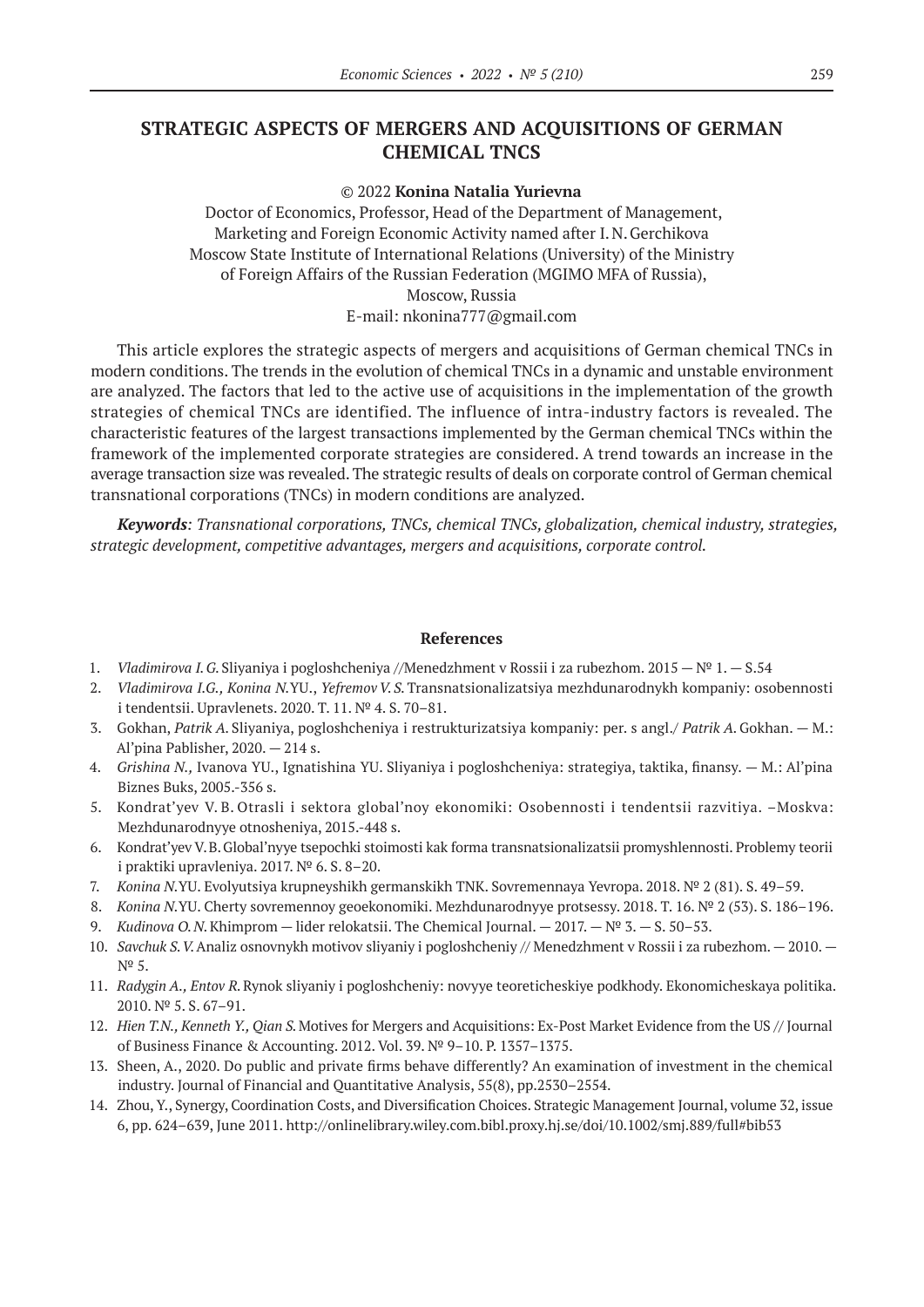### **STRATEGIC ASPECTS OF MERGERS AND ACQUISITIONS OF GERMAN CHEMICAL TNCS**

© 2022 **Konina Natalia Yurievna**

Doctor of Economics, Professor, Head of the Department of Management, Marketing and Foreign Economic Activity named after I.N.Gerchikova Moscow State Institute of International Relations (University) of the Ministry of Foreign Affairs of the Russian Federation (MGIMO MFA of Russia), Moscow, Russia E-mail: nkonina777@gmail.com

This article explores the strategic aspects of mergers and acquisitions of German chemical TNCs in modern conditions. The trends in the evolution of chemical TNCs in a dynamic and unstable environment are analyzed. The factors that led to the active use of acquisitions in the implementation of the growth strategies of chemical TNCs are identified. The influence of intra-industry factors is revealed. The characteristic features of the largest transactions implemented by the German chemical TNCs within the framework of the implemented corporate strategies are considered. A trend towards an increase in the average transaction size was revealed. The strategic results of deals on corporate control of German chemical transnational corporations (TNCs) in modern conditions are analyzed.

*Keywords: Transnational corporations, TNCs, chemical TNCs, globalization, chemical industry, strategies, strategic development, competitive advantages, mergers and acquisitions, corporate control.*

#### **References**

- 1. *Vladimirova I. G.*Sliyaniya i pogloshcheniya //Menedzhment v Rossii i za rubezhom. 2015 —№ 1. S.54
- 2. *Vladimirova I.G., Konina N.*YU., *YefremovV. S.*Transnatsionalizatsiya mezhdunarodnykh kompaniy: osobennosti i tendentsii. Upravlenets. 2020. T. 11. № 4. S. 70–81.
- 3. Gokhan, *Patrik A.* Sliyaniya, pogloshcheniya i restrukturizatsiya kompaniy: per. s angl./ *Patrik A.*Gokhan. M.: Al'pina Pablisher, 2020. — 214 s.
- 4. *Grishina N.,* Ivanova YU., Ignatishina YU. Sliyaniya i pogloshcheniya: strategiya, taktika, finansy. M.: Al'pina Biznes Buks, 2005.-356 s.
- 5. Kondrat'yev V. B. Otrasli i sektora global'noy ekonomiki: Osobennosti i tendentsii razvitiya. –Moskva: Mezhdunarodnyye otnosheniya, 2015.-448 s.
- 6. Kondrat'yev V.B.Global'nyye tsepochki stoimosti kak forma transnatsionalizatsii promyshlennosti. Problemy teorii i praktiki upravleniya. 2017. № 6. S. 8–20.
- 7. *Konina N.*YU. Evolyutsiya krupneyshikh germanskikh TNK. Sovremennaya Yevropa. 2018. № 2 (81). S. 49–59.
- 8. *Konina N.*YU. Cherty sovremennoy geoekonomiki. Mezhdunarodnyye protsessy. 2018. T. 16. № 2 (53). S. 186–196.
- 9. *Kudinova O.N.Khimprom* lider relokatsii. The Chemical Journal.  $2017.$   $N<sup>°</sup>$  3. S. 50–53.
- 10. *Savchuk S.V.*Analiz osnovnykh motivov sliyaniy i pogloshcheniy // Menedzhment v Rossii i za rubezhom.— 2010. № 5.
- 11. *Radygin A., Entov R.*Rynok sliyaniy i pogloshcheniy: novyye teoreticheskiye podkhody. Ekonomicheskaya politika. 2010. № 5. S. 67–91.
- 12. *Hien T.N., Kenneth Y., Qian S.*Motives for Mergers and Acquisitions: Ex-Post Market Evidence from the US // Journal of Business Finance & Accounting. 2012. Vol. 39. № 9–10. P. 1357–1375.
- 13. Sheen, A., 2020. Do public and private firms behave differently? An examination of investment in the chemical industry. Journal of Financial and Quantitative Analysis, 55(8), pp.2530–2554.
- 14. Zhou, Y., Synergy, Coordination Costs, and Diversification Choices. Strategic Management Journal, volume 32, issue 6, pp. 624–639, June 2011. http://onlinelibrary.wiley.com.bibl.proxy.hj.se/doi/10.1002/smj.889/full#bib53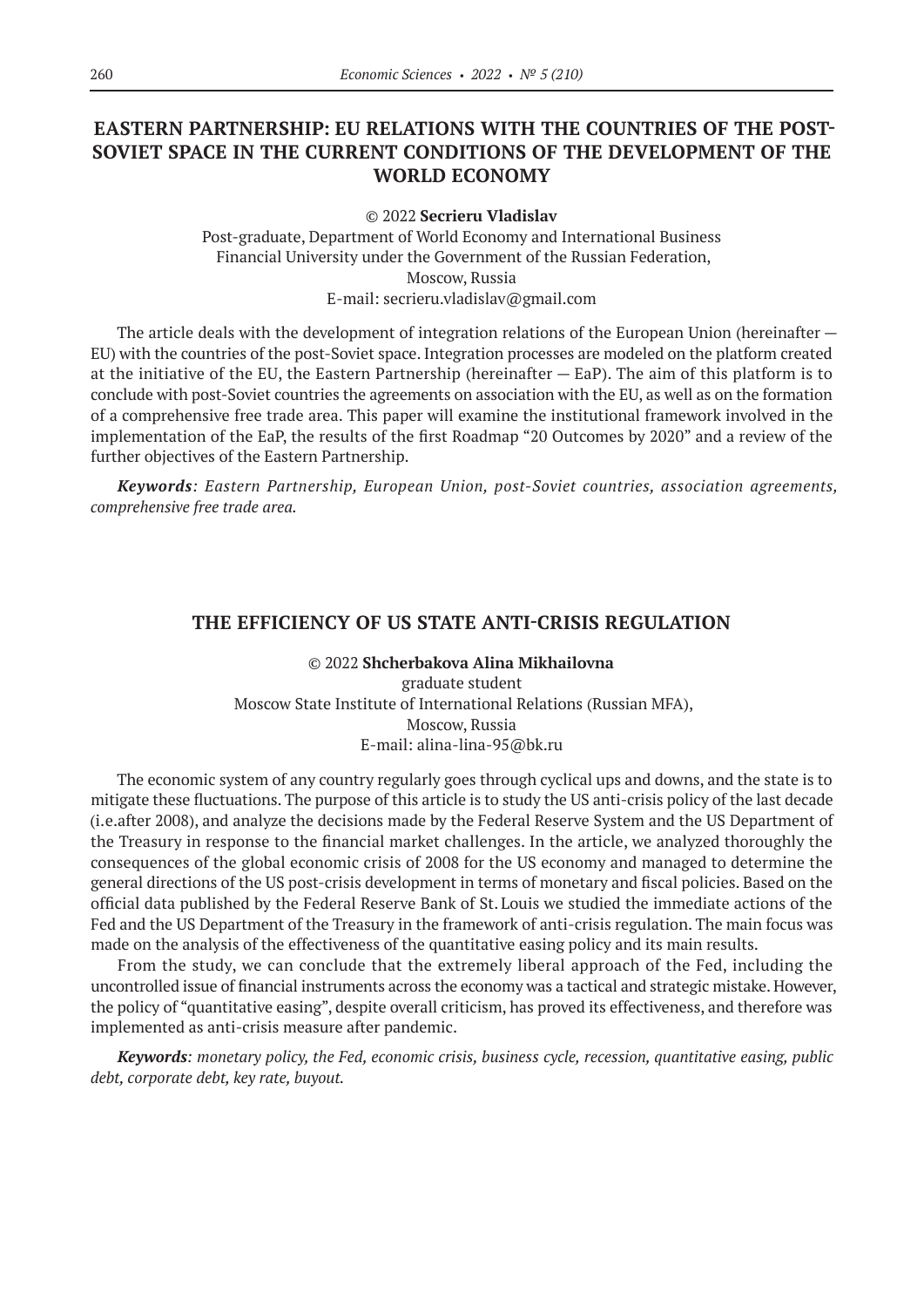# **EASTERN PARTNERSHIP: EU RELATIONS WITH THE COUNTRIES OF THE POST-SOVIET SPACE IN THE CURRENT CONDITIONS OF THE DEVELOPMENT OF THE WORLD ECONOMY**

© 2022 **Secrieru Vladislav**

Post-graduate, Department of World Economy and International Business Financial University under the Government of the Russian Federation, Moscow, Russia E-mail: secrieru.vladislav@gmail.com

The article deals with the development of integration relations of the European Union (hereinafter — EU) with the countries of the post-Soviet space. Integration processes are modeled on the platform created at the initiative of the EU, the Eastern Partnership (hereinafter — EaP). The aim of this platform is to conclude with post-Soviet countries the agreements on association with the EU, as well as on the formation of a comprehensive free trade area. This paper will examine the institutional framework involved in the implementation of the EaP, the results of the first Roadmap "20 Outcomes by 2020" and a review of the further objectives of the Eastern Partnership.

*Keywords: Eastern Partnership, European Union, post-Soviet countries, association agreements, comprehensive free trade area.*

### **THE EFFICIENCY OF US STATE ANTI-CRISIS REGULATION**

© 2022 **Shcherbakova Alina Mikhailovna** graduate student Moscow State Institute of International Relations (Russian MFA), Moscow, Russia E-mail: alina-lina‑95@bk.ru

The economic system of any country regularly goes through cyclical ups and downs, and the state is to mitigate these fluctuations. The purpose of this article is to study the US anti-crisis policy of the last decade (i.e.after 2008), and analyze the decisions made by the Federal Reserve System and the US Department of the Treasury in response to the financial market challenges. In the article, we analyzed thoroughly the consequences of the global economic crisis of 2008 for the US economy and managed to determine the general directions of the US post-crisis development in terms of monetary and fiscal policies. Based on the official data published by the Federal Reserve Bank of St. Louis we studied the immediate actions of the Fed and the US Department of the Treasury in the framework of anti-crisis regulation. The main focus was made on the analysis of the effectiveness of the quantitative easing policy and its main results.

From the study, we can conclude that the extremely liberal approach of the Fed, including the uncontrolled issue of financial instruments across the economy was a tactical and strategic mistake. However, the policy of "quantitative easing", despite overall criticism, has proved its effectiveness, and therefore was implemented as anti-crisis measure after pandemic.

*Keywords: monetary policy, the Fed, economic crisis, business cycle, recession, quantitative easing, public debt, corporate debt, key rate, buyout.*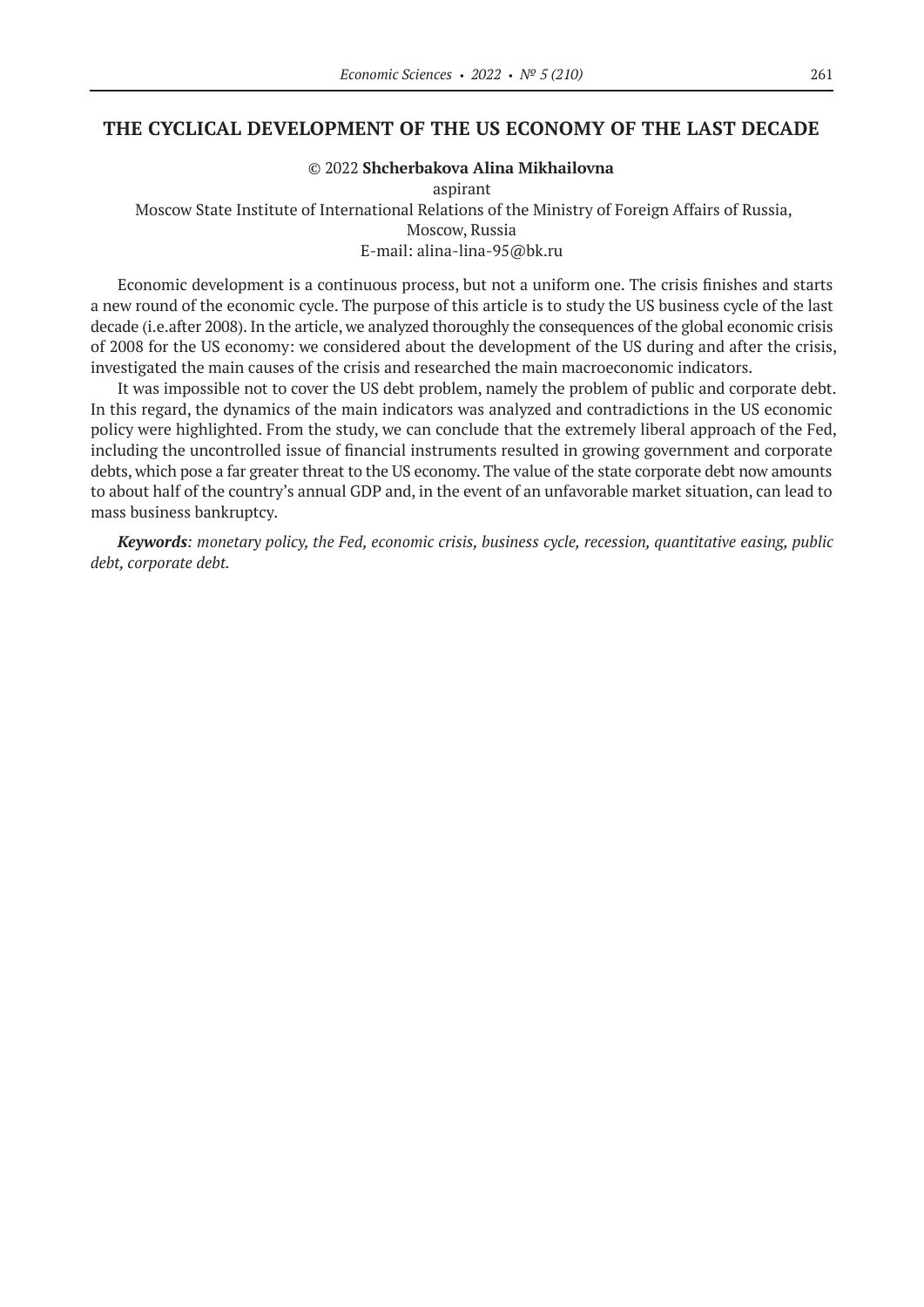### **THE CYCLICAL DEVELOPMENT OF THE US ECONOMY OF THE LAST DECADE**

#### © 2022 **Shcherbakova Alina Mikhailovna**

#### aspirant

Moscow State Institute of International Relations of the Ministry of Foreign Affairs of Russia, Moscow, Russia E-mail: alina-lina‑95@bk.ru

Economic development is a continuous process, but not a uniform one. The crisis finishes and starts a new round of the economic cycle. The purpose of this article is to study the US business cycle of the last decade (i.e.after 2008). In the article, we analyzed thoroughly the consequences of the global economic crisis of 2008 for the US economy: we considered about the development of the US during and after the crisis, investigated the main causes of the crisis and researched the main macroeconomic indicators.

It was impossible not to cover the US debt problem, namely the problem of public and corporate debt. In this regard, the dynamics of the main indicators was analyzed and contradictions in the US economic policy were highlighted. From the study, we can conclude that the extremely liberal approach of the Fed, including the uncontrolled issue of financial instruments resulted in growing government and corporate debts, which pose a far greater threat to the US economy. The value of the state corporate debt now amounts to about half of the country's annual GDP and, in the event of an unfavorable market situation, can lead to mass business bankruptcy.

*Keywords: monetary policy, the Fed, economic crisis, business cycle, recession, quantitative easing, public debt, corporate debt.*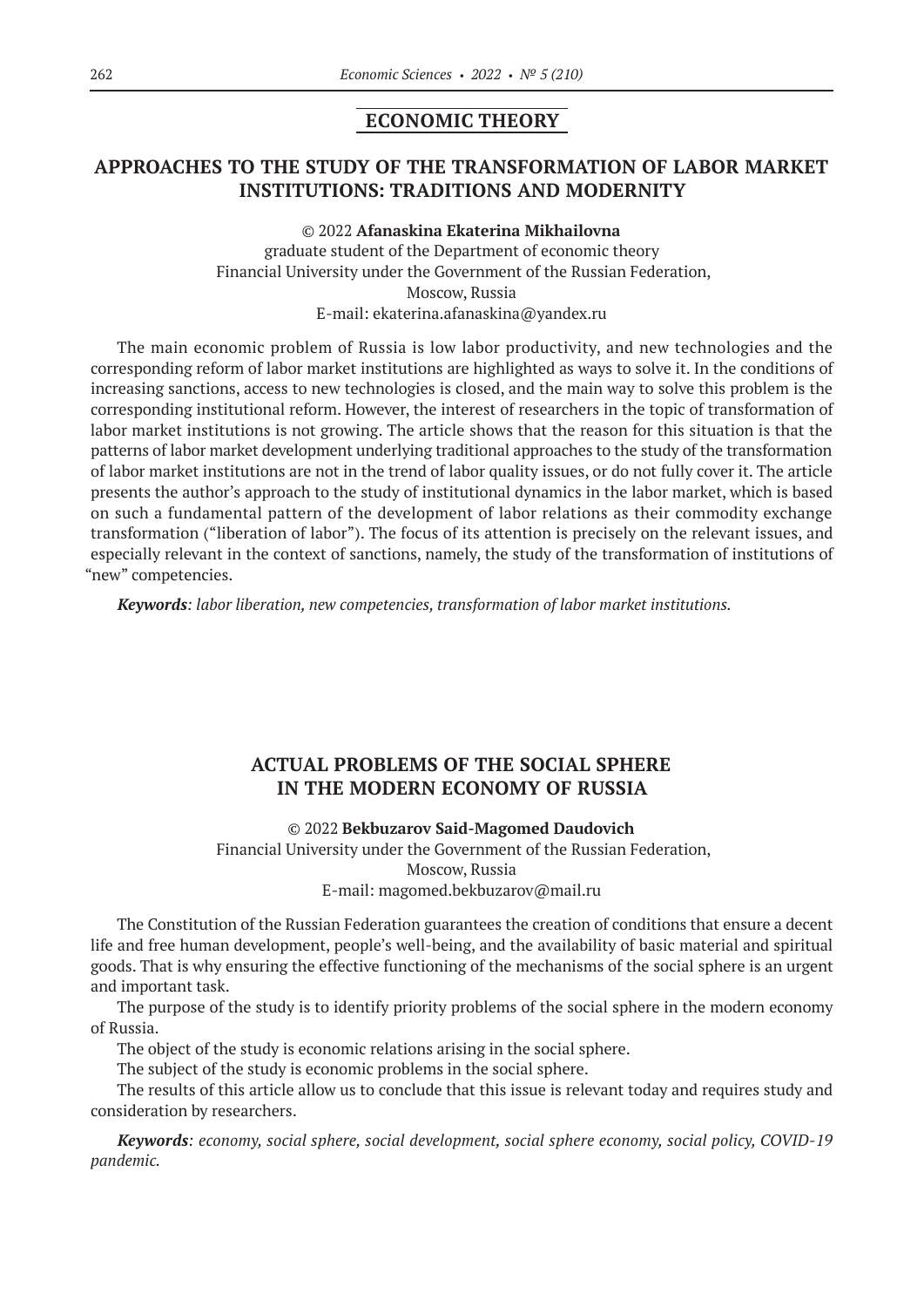### **ECONOMIC THEORY**

# **APPROACHES TO THE STUDY OF THE TRANSFORMATION OF LABOR MARKET INSTITUTIONS: TRADITIONS AND MODERNITY**

© 2022 **Afanaskina Ekaterina Mikhailovna**

graduate student of the Department of economic theory Financial University under the Government of the Russian Federation, Moscow, Russia E-mail: ekaterina.afanaskina@yandex.ru

The main economic problem of Russia is low labor productivity, and new technologies and the corresponding reform of labor market institutions are highlighted as ways to solve it. In the conditions of increasing sanctions, access to new technologies is closed, and the main way to solve this problem is the corresponding institutional reform. However, the interest of researchers in the topic of transformation of labor market institutions is not growing. The article shows that the reason for this situation is that the patterns of labor market development underlying traditional approaches to the study of the transformation of labor market institutions are not in the trend of labor quality issues, or do not fully cover it. The article presents the author's approach to the study of institutional dynamics in the labor market, which is based on such a fundamental pattern of the development of labor relations as their commodity exchange transformation ("liberation of labor"). The focus of its attention is precisely on the relevant issues, and especially relevant in the context of sanctions, namely, the study of the transformation of institutions of "new" competencies.

*Keywords: labor liberation, new competencies, transformation of labor market institutions.*

# **ACTUAL PROBLEMS OF THE SOCIAL SPHERE IN THE MODERN ECONOMY OF RUSSIA**

### © 2022 **Bekbuzarov Said-Magomed Daudovich**

Financial University under the Government of the Russian Federation, Moscow, Russia E-mail: magomed.bekbuzarov@mail.ru

The Constitution of the Russian Federation guarantees the creation of conditions that ensure a decent life and free human development, people's well-being, and the availability of basic material and spiritual goods. That is why ensuring the effective functioning of the mechanisms of the social sphere is an urgent and important task.

The purpose of the study is to identify priority problems of the social sphere in the modern economy of Russia.

The object of the study is economic relations arising in the social sphere.

The subject of the study is economic problems in the social sphere.

The results of this article allow us to conclude that this issue is relevant today and requires study and consideration by researchers.

*Keywords: economy, social sphere, social development, social sphere economy, social policy, COVID‑19 pandemic.*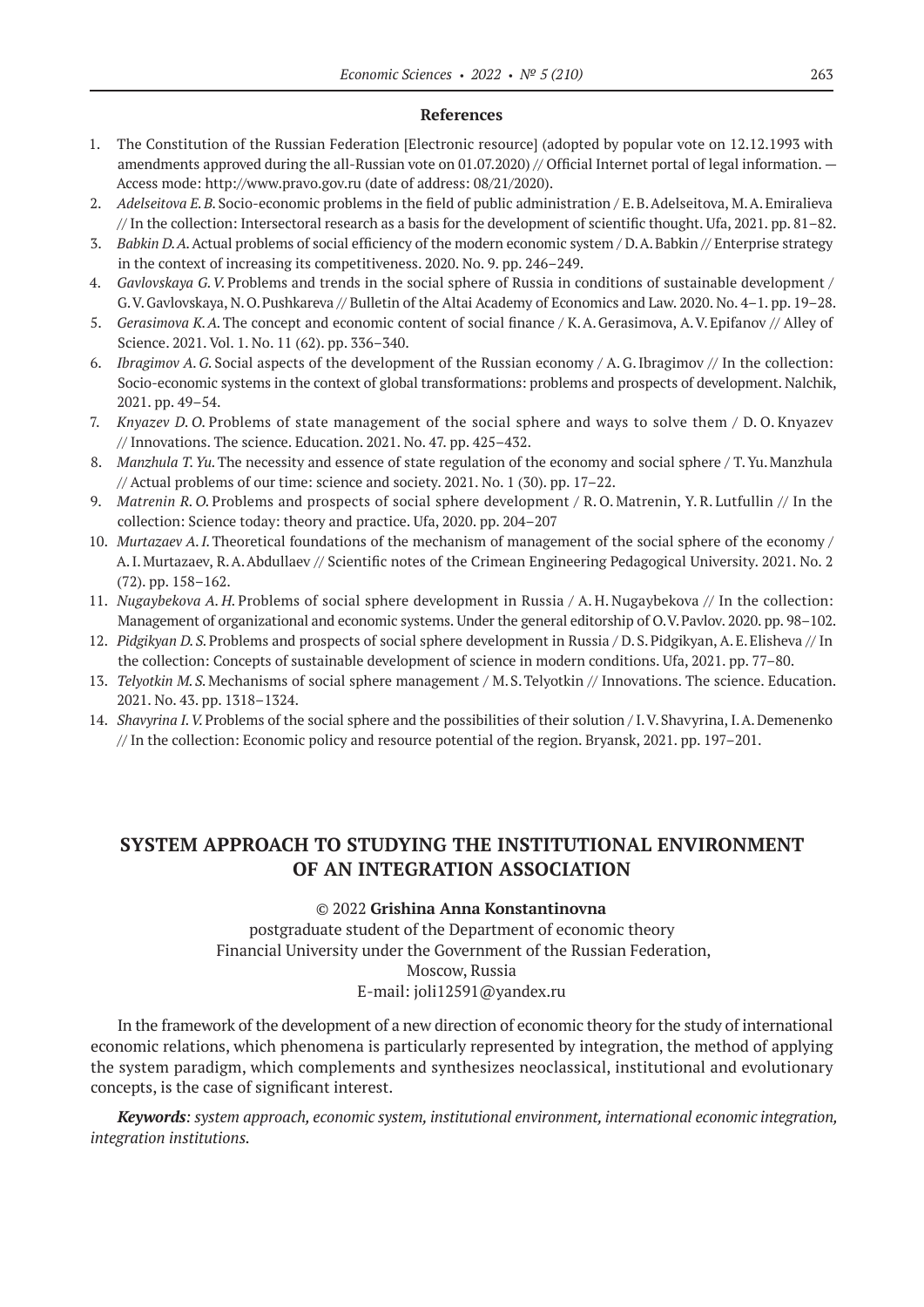#### **References**

- 1. The Constitution of the Russian Federation [Electronic resource] (adopted by popular vote on 12.12.1993 with amendments approved during the all-Russian vote on 01.07.2020) // Official Internet portal of legal information.  $-$ Access mode: http://www.pravo.gov.ru (date of address: 08/21/2020).
- 2. *Adelseitova E.B.*Socio-economic problems in the field of public administration / E.B.Adelseitova, M.A.Emiralieva // In the collection: Intersectoral research as a basis for the development of scientific thought. Ufa, 2021. pp. 81–82.
- 3. *Babkin D. A.*Actual problems of social efficiency of the modern economic system / D.A.Babkin // Enterprise strategy in the context of increasing its competitiveness. 2020. No. 9. pp. 246–249.
- 4. *Gavlovskaya G. V.*Problems and trends in the social sphere of Russia in conditions of sustainable development / G.V.Gavlovskaya, N.O.Pushkareva // Bulletin of the Altai Academy of Economics and Law. 2020. No. 4–1. pp. 19–28.
- 5. *Gerasimova K. A.*The concept and economic content of social finance / K.A.Gerasimova, A.V.Epifanov // Alley of Science. 2021. Vol. 1. No. 11 (62). pp. 336–340.
- 6. *Ibragimov A. G.* Social aspects of the development of the Russian economy / A. G. Ibragimov // In the collection: Socio-economic systems in the context of global transformations: problems and prospects of development. Nalchik, 2021. pp. 49–54.
- 7. *Knyazev D. O.*Problems of state management of the social sphere and ways to solve them / D. O. Knyazev // Innovations. The science. Education. 2021. No. 47. pp. 425–432.
- 8. *Manzhula T.Yu.*The necessity and essence of state regulation of the economy and social sphere / T.Yu.Manzhula // Actual problems of our time: science and society. 2021. No. 1 (30). pp. 17–22.
- 9. *Matrenin R. O.* Problems and prospects of social sphere development / R. O. Matrenin, Y. R. Lutfullin // In the collection: Science today: theory and practice. Ufa, 2020. pp. 204–207
- 10. *Murtazaev A.I.* Theoretical foundations of the mechanism of management of the social sphere of the economy / A.I.Murtazaev, R.A.Abdullaev // Scientific notes of the Crimean Engineering Pedagogical University. 2021. No. 2 (72). pp. 158–162.
- 11. *Nugaybekova A. H.* Problems of social sphere development in Russia / A. H. Nugaybekova // In the collection: Management of organizational and economic systems. Under the general editorship of O.V.Pavlov. 2020. pp. 98–102.
- 12. *Pidgikyan D. S.*Problems and prospects of social sphere development in Russia / D.S.Pidgikyan, A.E.Elisheva // In the collection: Concepts of sustainable development of science in modern conditions. Ufa, 2021. pp. 77–80.
- 13. *Telyotkin M.S.*Mechanisms of social sphere management / M.S.Telyotkin // Innovations. The science. Education. 2021. No. 43. pp. 1318–1324.
- 14. *Shavyrina I.V.* Problems of the social sphere and the possibilities of their solution / I.V. Shavyrina, I.A. Demenenko // In the collection: Economic policy and resource potential of the region. Bryansk, 2021. pp. 197–201.

# **SYSTEM APPROACH TO STUDYING THE INSTITUTIONAL ENVIRONMENT OF AN INTEGRATION ASSOCIATION**

### © 2022 **Grishina Anna Konstantinovna**

postgraduate student of the Department of economic theory Financial University under the Government of the Russian Federation, Moscow, Russia E-mail: joli12591@yandex.ru

In the framework of the development of a new direction of economic theory for the study of international economic relations, which phenomena is particularly represented by integration, the method of applying the system paradigm, which complements and synthesizes neoclassical, institutional and evolutionary concepts, is the case of significant interest.

*Keywords: system approach, economic system, institutional environment, international economic integration, integration institutions.*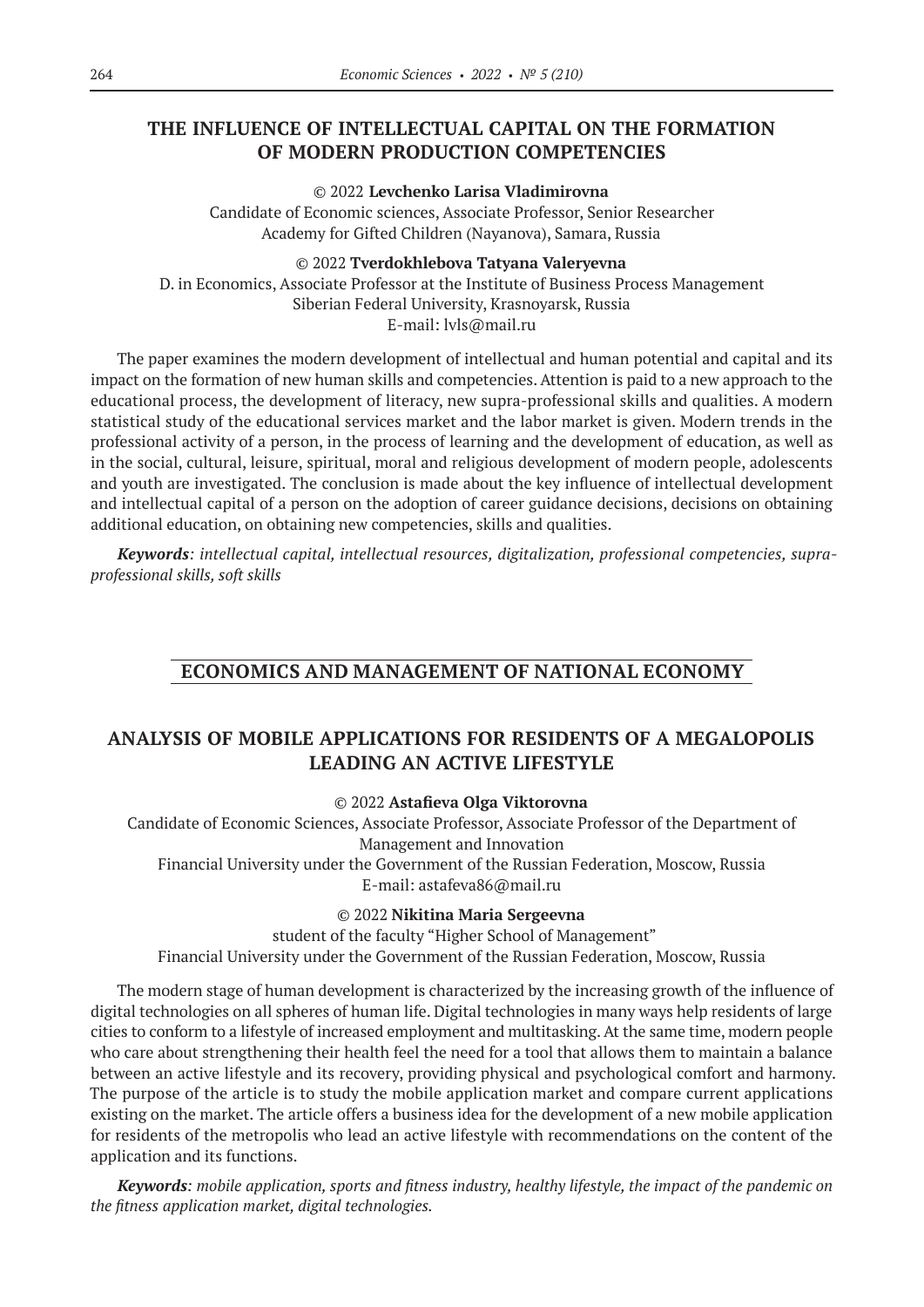# **THE INFLUENCE OF INTELLECTUAL CAPITAL ON THE FORMATION OF MODERN PRODUCTION COMPETENCIES**

© 2022 **Levchenko Larisa Vladimirovna** Candidate of Economic sciences, Associate Professor, Senior Researcher Academy for Gifted Children (Nayanova), Samara, Russia

© 2022 **Tverdokhlebova Tatyana Valeryevna** D. in Economics, Associate Professor at the Institute of Business Process Management Siberian Federal University, Krasnoyarsk, Russia E-mail: lvls@mail.ru

The paper examines the modern development of intellectual and human potential and capital and its impact on the formation of new human skills and competencies. Attention is paid to a new approach to the educational process, the development of literacy, new supra-professional skills and qualities. A modern statistical study of the educational services market and the labor market is given. Modern trends in the professional activity of a person, in the process of learning and the development of education, as well as in the social, cultural, leisure, spiritual, moral and religious development of modern people, adolescents and youth are investigated. The conclusion is made about the key influence of intellectual development and intellectual capital of a person on the adoption of career guidance decisions, decisions on obtaining additional education, on obtaining new competencies, skills and qualities.

*Keywords: intellectual capital, intellectual resources, digitalization, professional competencies, supraprofessional skills, soft skills*

# **ECONOMICS AND MANAGEMENT OF NATIONAL ECONOMY**

# **ANALYSIS OF MOBILE APPLICATIONS FOR RESIDENTS OF A MEGALOPOLIS LEADING AN ACTIVE LIFESTYLE**

© 2022 **Astafieva Olga Viktorovna**

Candidate of Economic Sciences, Associate Professor, Associate Professor of the Department of Management and Innovation Financial University under the Government of the Russian Federation, Moscow, Russia E-mail: astafeva86@mail.ru

© 2022 **Nikitina Maria Sergeevna**

student of the faculty "Higher School of Management"

Financial University under the Government of the Russian Federation, Moscow, Russia

The modern stage of human development is characterized by the increasing growth of the influence of digital technologies on all spheres of human life. Digital technologies in many ways help residents of large cities to conform to a lifestyle of increased employment and multitasking. At the same time, modern people who care about strengthening their health feel the need for a tool that allows them to maintain a balance between an active lifestyle and its recovery, providing physical and psychological comfort and harmony. The purpose of the article is to study the mobile application market and compare current applications existing on the market. The article offers a business idea for the development of a new mobile application for residents of the metropolis who lead an active lifestyle with recommendations on the content of the application and its functions.

*Keywords: mobile application, sports and fitness industry, healthy lifestyle, the impact of the pandemic on the fitness application market, digital technologies.*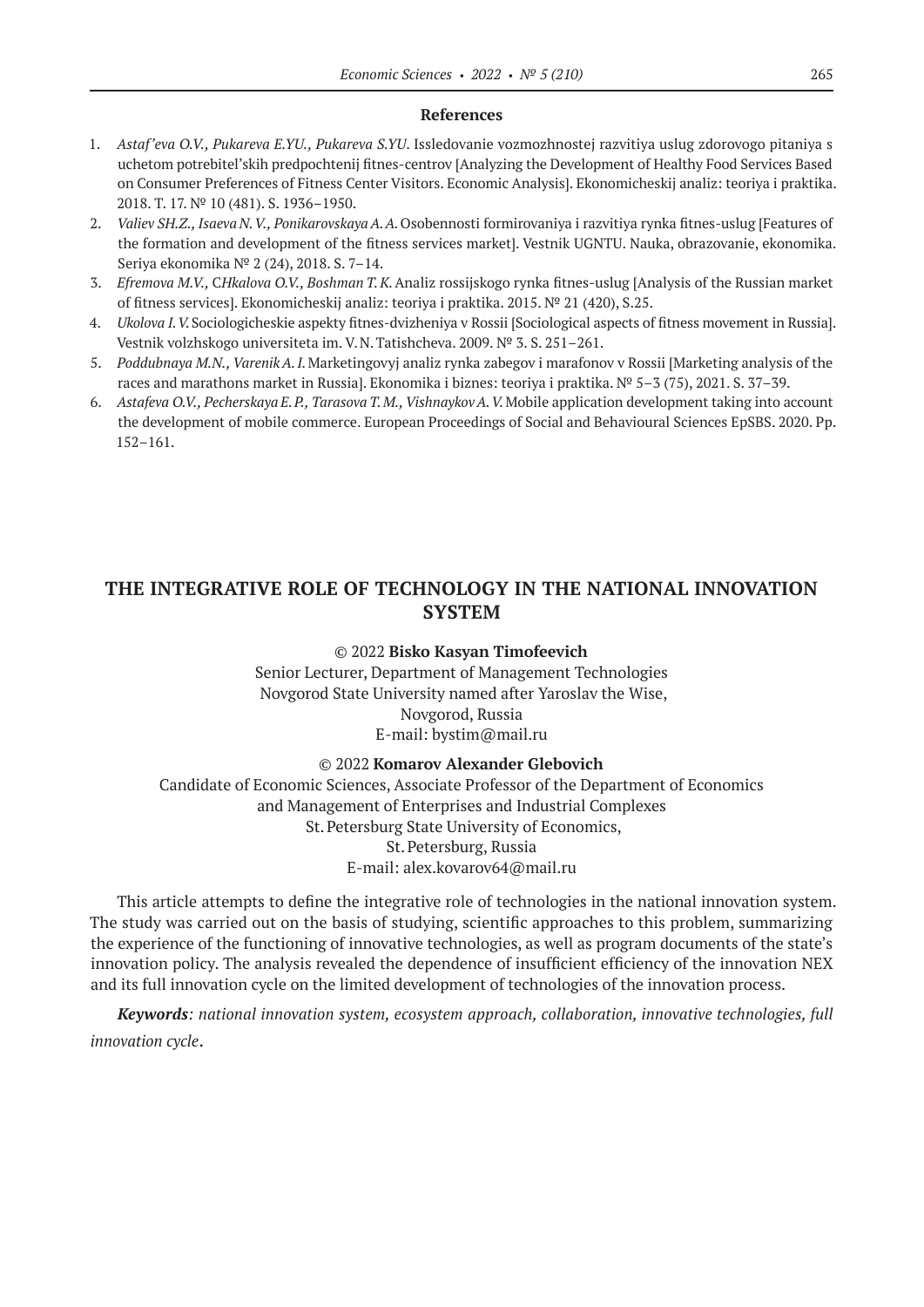#### **References**

- 1. *Astaf'eva O.V., Pukareva E.YU., Pukareva S.YU*. Issledovanie vozmozhnostej razvitiya uslug zdorovogo pitaniya s uchetom potrebitel'skih predpochtenij fitnes-centrov [Analyzing the Development of Healthy Food Services Based on Consumer Preferences of Fitness Center Visitors. Economic Analysis]. Ekonomicheskij analiz: teoriya i praktika. 2018. T. 17. № 10 (481). S. 1936–1950.
- 2. *Valiev SH.Z., Isaeva N. V., Ponikarovskaya A. A.*Osobennosti formirovaniya i razvitiya rynka fitnes-uslug [Features of the formation and development of the fitness services market]. Vestnik UGNTU. Nauka, obrazovanie, ekonomika. Seriya ekonomika № 2 (24), 2018. S. 7–14.
- 3. *Efremova M.V.,* C*Hkalova O.V., Boshman T.K.*Analiz rossijskogo rynka fitnes-uslug [Analysis of the Russian market of fitness services]. Ekonomicheskij analiz: teoriya i praktika. 2015. № 21 (420), S.25.
- 4. *Ukolova I. V.*Sociologicheskie aspekty fitnes-dvizheniya v Rossii [Sociological aspects of fitness movement in Russia]. Vestnik volzhskogo universiteta im. V.N.Tatishcheva. 2009. № 3. S. 251–261.
- 5. *Poddubnaya M.N., Varenik A. I.* Marketingovyj analiz rynka zabegov i marafonov v Rossii [Marketing analysis of the races and marathons market in Russia]. Ekonomika i biznes: teoriya i praktika. № 5–3 (75), 2021. S. 37–39.
- 6. *Astafeva O.V., Pecherskaya E.P., Tarasova T.M., VishnaykovA.V.*Mobile application development taking into account the development of mobile commerce. European Proceedings of Social and Behavioural Sciences EpSBS. 2020. Pp. 152–161.

# **THE INTEGRATIVE ROLE OF TECHNOLOGY IN THE NATIONAL INNOVATION SYSTEM**

#### © 2022 **Bisko Kasyan Timofeevich**

Senior Lecturer, Department of Management Technologies Novgorod State University named after Yaroslav the Wise, Novgorod, Russia E-mail: bystim@mail.ru

#### © 2022 **Komarov Alexander Glebovich**

Candidate of Economic Sciences, Associate Professor of the Department of Economics and Management of Enterprises and Industrial Complexes St.Petersburg State University of Economics, St.Petersburg, Russia E-mail: alex.kovarov64@mail.ru

This article attempts to define the integrative role of technologies in the national innovation system. The study was carried out on the basis of studying, scientific approaches to this problem, summarizing the experience of the functioning of innovative technologies, as well as program documents of the state's innovation policy. The analysis revealed the dependence of insufficient efficiency of the innovation NEX and its full innovation cycle on the limited development of technologies of the innovation process.

*Keywords: national innovation system, ecosystem approach, collaboration, innovative technologies, full innovation cycle*.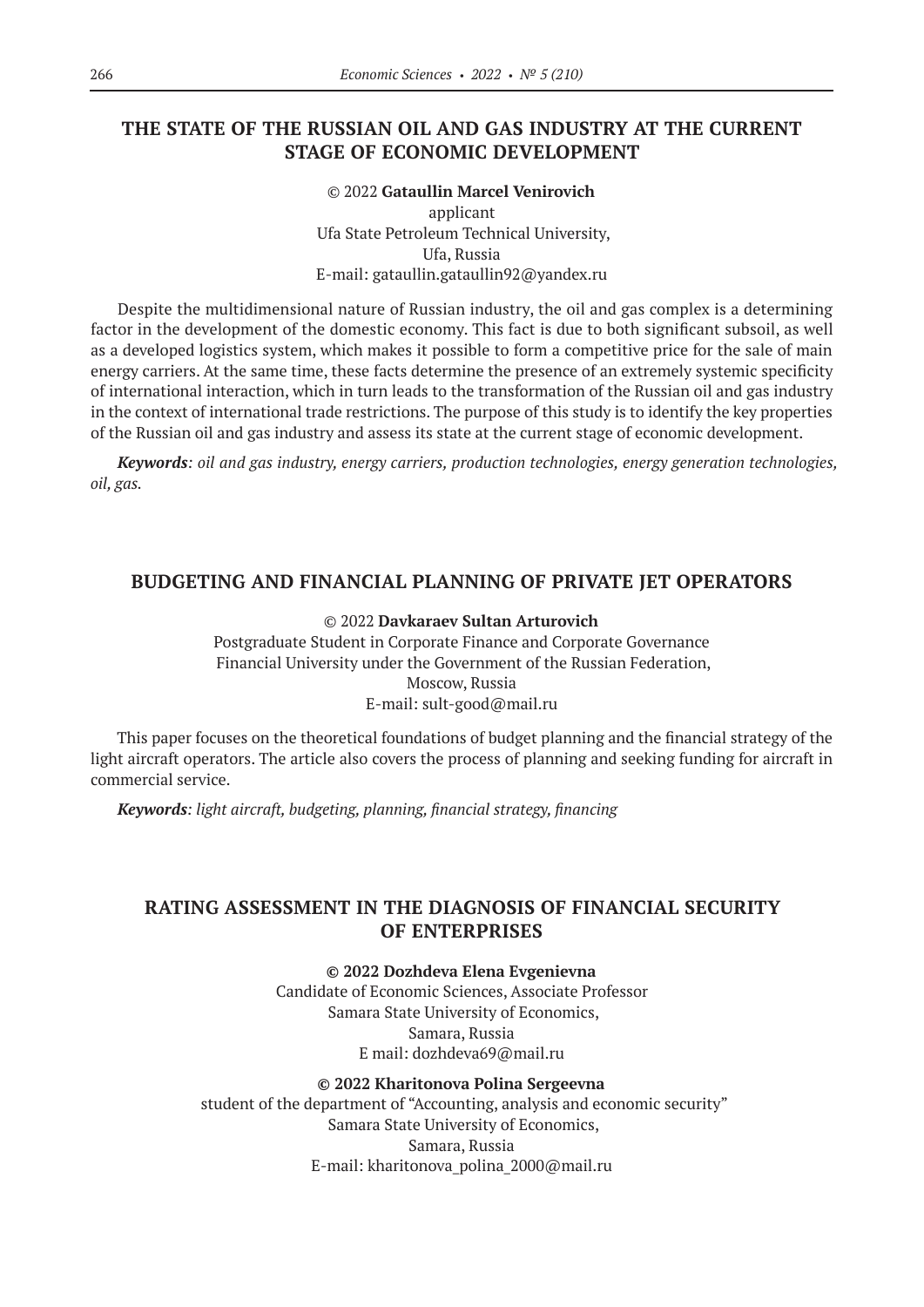# **THE STATE OF THE RUSSIAN OIL AND GAS INDUSTRY AT THE CURRENT STAGE OF ECONOMIC DEVELOPMENT**

#### © 2022 **Gataullin Marcel Venirovich** applicant

Ufa State Petroleum Technical University, Ufa, Russia E-mail: gataullin.gataullin92@yandex.ru

Despite the multidimensional nature of Russian industry, the oil and gas complex is a determining factor in the development of the domestic economy. This fact is due to both significant subsoil, as well as a developed logistics system, which makes it possible to form a competitive price for the sale of main energy carriers. At the same time, these facts determine the presence of an extremely systemic specificity of international interaction, which in turn leads to the transformation of the Russian oil and gas industry in the context of international trade restrictions. The purpose of this study is to identify the key properties of the Russian oil and gas industry and assess its state at the current stage of economic development.

*Keywords: oil and gas industry, energy carriers, production technologies, energy generation technologies, oil, gas.*

### **BUDGETING AND FINANCIAL PLANNING OF PRIVATE JET OPERATORS**

#### © 2022 **Davkaraev Sultan Arturovich**

Postgraduate Student in Corporate Finance and Corporate Governance Financial University under the Government of the Russian Federation, Moscow, Russia E-mail: sult-good@mail.ru

This paper focuses on the theoretical foundations of budget planning and the financial strategy of the light aircraft operators. The article also covers the process of planning and seeking funding for aircraft in commercial service.

*Keywords: light aircraft, budgeting, planning, financial strategy, financing*

### **RATING ASSESSMENT IN THE DIAGNOSIS OF FINANCIAL SECURITY OF ENTERPRISES**

**© 2022 Dozhdeva Elena Evgenievna**

Candidate of Economic Sciences, Associate Professor Samara State University of Economics, Samara, Russia E mail: dozhdeva69@mail.ru

#### **© 2022 Kharitonova Polina Sergeevna**

student of the department of "Accounting, analysis and economic security" Samara State University of Economics, Samara, Russia E-mail: kharitonova\_polina\_2000@mail.ru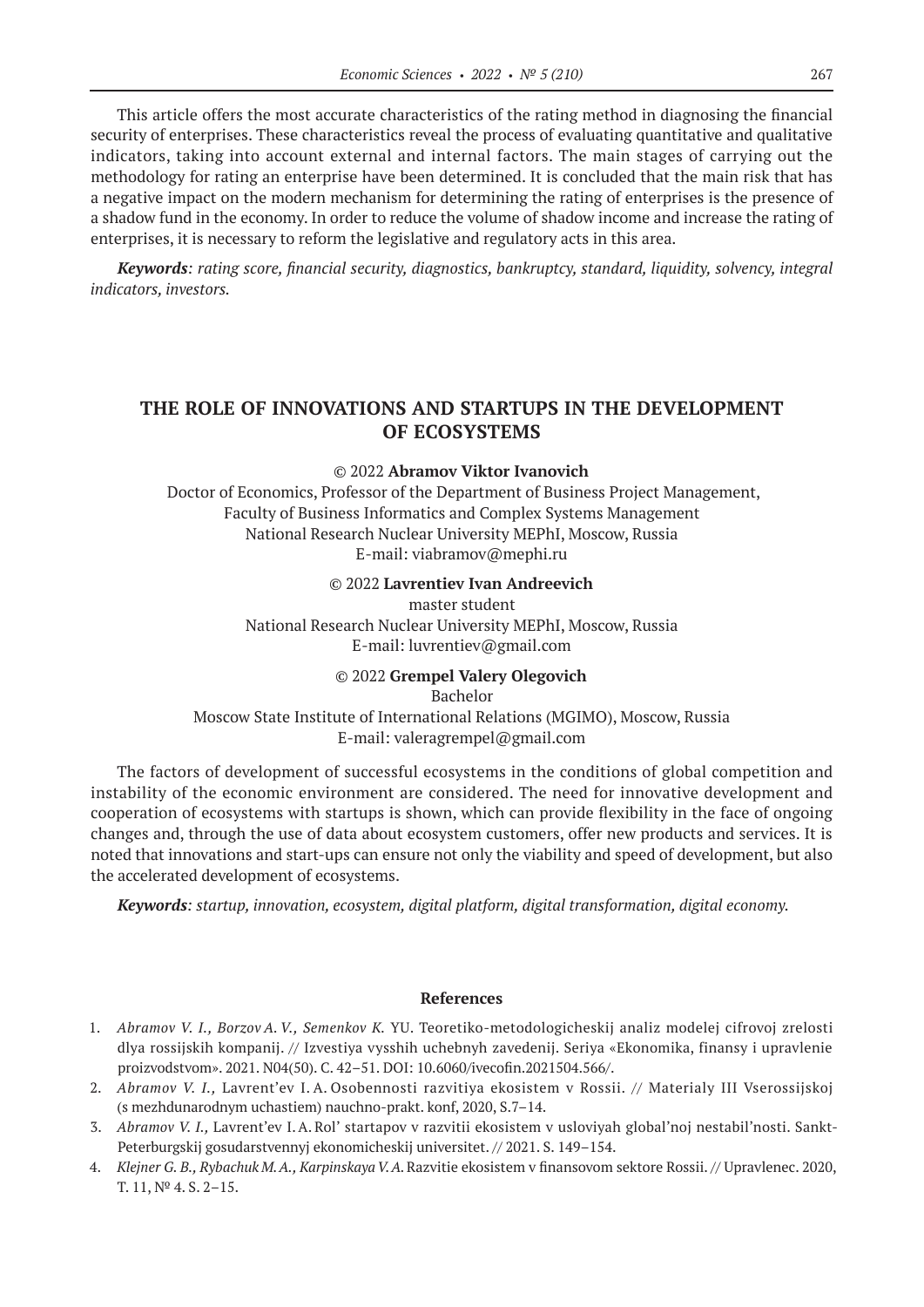This article offers the most accurate characteristics of the rating method in diagnosing the financial security of enterprises. These characteristics reveal the process of evaluating quantitative and qualitative indicators, taking into account external and internal factors. The main stages of carrying out the methodology for rating an enterprise have been determined. It is concluded that the main risk that has a negative impact on the modern mechanism for determining the rating of enterprises is the presence of a shadow fund in the economy. In order to reduce the volume of shadow income and increase the rating of enterprises, it is necessary to reform the legislative and regulatory acts in this area.

*Keywords: rating score, financial security, diagnostics, bankruptcy, standard, liquidity, solvency, integral indicators, investors.*

# **THE ROLE OF INNOVATIONS AND STARTUPS IN THE DEVELOPMENT OF ECOSYSTEMS**

#### © 2022 **Abramov Viktor Ivanovich**

Doctor of Economics, Professor of the Department of Business Project Management, Faculty of Business Informatics and Complex Systems Management National Research Nuclear University MEPhI, Moscow, Russia E-mail: viabramov@mephi.ru

#### © 2022 **Lavrentiev Ivan Andreevich**

master student National Research Nuclear University MEPhI, Moscow, Russia E-mail: luvrentiev@gmail.com

### © 2022 **Grempel Valery Olegovich**

Bachelor

Moscow State Institute of International Relations (MGIMO), Moscow, Russia E-mail: valeragrempel@gmail.com

The factors of development of successful ecosystems in the conditions of global competition and instability of the economic environment are considered. The need for innovative development and cooperation of ecosystems with startups is shown, which can provide flexibility in the face of ongoing changes and, through the use of data about ecosystem customers, offer new products and services. It is noted that innovations and start-ups can ensure not only the viability and speed of development, but also the accelerated development of ecosystems.

*Keywords: startup, innovation, ecosystem, digital platform, digital transformation, digital economy.*

#### **References**

- 1. *Abramov V. I., Borzov A. V., Semenkov K.* YU. Teoretiko-metodologicheskij analiz modelej cifrovoj zrelosti dlya rossijskih kompanij. // Izvestiya vysshih uchebnyh zavedenij. Seriya «Ekonomika, finansy i upravlenie proizvodstvom». 2021. N04(50). C. 42–51. DOI: 10.6060/ivecofin.2021504.566/.
- 2. *Abramov V. I.,* Lavrent'ev I. A. Osobennosti razvitiya ekosistem v Rossii. // Materialy III Vserossijskoj (s mezhdunarodnym uchastiem) nauchno-prakt. konf, 2020, S.7–14.
- 3. *Abramov V. I.,* Lavrent'ev I.A. Rol' startapov v razvitii ekosistem v usloviyah global'noj nestabil'nosti. Sankt-Peterburgskij gosudarstvennyj ekonomicheskij universitet. // 2021. S. 149–154.
- 4. *Klejner G. B., Rybachuk M. A., Karpinskaya V. A.*Razvitie ekosistem v finansovom sektore Rossii. // Upravlenec. 2020, T. 11, № 4. S. 2–15.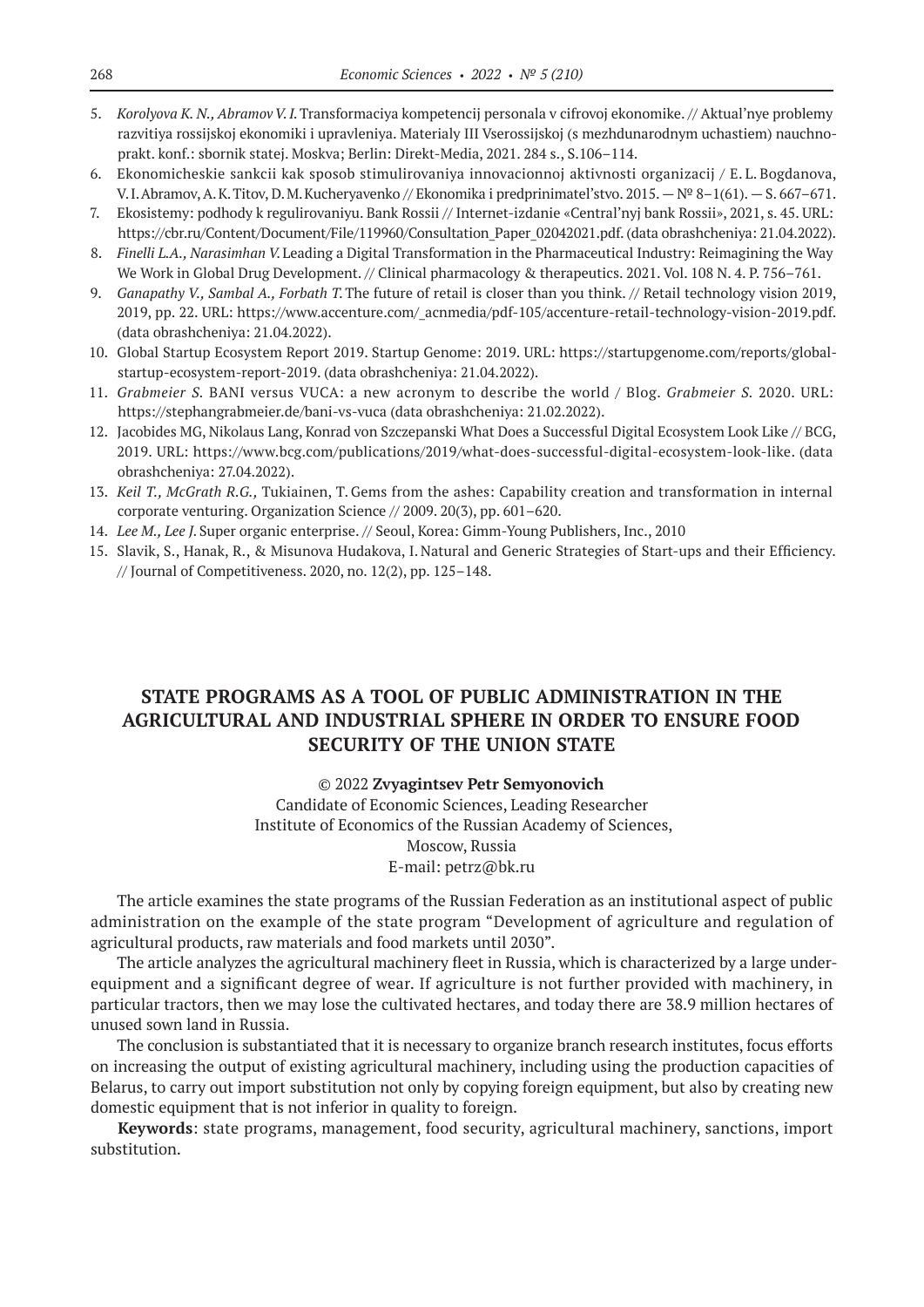- 5. *Korolyova K. N., Abramov V. I.*Transformaciya kompetencij personala v cifrovoj ekonomike. // Aktual'nye problemy razvitiya rossijskoj ekonomiki i upravleniya. Materialy III Vserossijskoj (s mezhdunarodnym uchastiem) nauchnoprakt. konf.: sbornik statej. Moskva; Berlin: Direkt-Media, 2021. 284 s., S.106–114.
- 6. Ekonomicheskie sankcii kak sposob stimulirovaniya innovacionnoj aktivnosti organizacij / E. L. Bogdanova, V.I.Abramov, A.K.Titov, D.M.Kucheryavenko // Ekonomika i predprinimatel'stvo. 2015. —№ 8–1(61). — S. 667–671.
- 7. Ekosistemy: podhody k regulirovaniyu. Bank Rossii // Internet-izdanie «Central'nyj bank Rossii», 2021, s. 45. URL: https://cbr.ru/Content/Document/File/119960/Consultation\_Paper\_02042021.pdf. (data obrashcheniya: 21.04.2022).
- 8. *Finelli L.A., Narasimhan V.*Leading a Digital Transformation in the Pharmaceutical Industry: Reimagining the Way We Work in Global Drug Development. // Clinical pharmacology & therapeutics. 2021. Vol. 108 N. 4. P. 756–761.
- 9. *Ganapathy V., Sambal A., Forbath T.*The future of retail is closer than you think. // Retail technology vision 2019, 2019, pp. 22. URL: https://www.accenture.com/\_acnmedia/pdf-105/accenture-retail-technology-vision-2019.pdf. (data obrashcheniya: 21.04.2022).
- 10. Global Startup Ecosystem Report 2019. Startup Genome: 2019. URL: https://startupgenome.com/reports/globalstartup-ecosystem-report‑2019. (data obrashcheniya: 21.04.2022).
- 11. *Grabmeier S.* BANI versus VUCA: a new acronym to describe the world / Blog. *Grabmeier S.* 2020. URL: https://stephangrabmeier.de/bani-vs-vuca (data obrashcheniya: 21.02.2022).
- 12. Jacobides MG, Nikolaus Lang, Konrad von Szczepanski What Does a Successful Digital Ecosystem Look Like // BCG, 2019. URL: https://www.bcg.com/publications/2019/what-does-successful-digital-ecosystem-look-like. (data obrashcheniya: 27.04.2022).
- 13. *Keil T., McGrath R.G.,* Tukiainen, T.Gems from the ashes: Capability creation and transformation in internal corporate venturing. Organization Science // 2009. 20(3), pp. 601–620.
- 14. *Lee M., Lee J.*Super organic enterprise. // Seoul, Korea: Gimm-Young Publishers, Inc., 2010
- 15. Slavik, S., Hanak, R., & Misunova Hudakova, I. Natural and Generic Strategies of Start-ups and their Efficiency. // Journal of Competitiveness. 2020, no. 12(2), pp. 125–148.

# **STATE PROGRAMS AS A TOOL OF PUBLIC ADMINISTRATION IN THE AGRICULTURAL AND INDUSTRIAL SPHERE IN ORDER TO ENSURE FOOD SECURITY OF THE UNION STATE**

### © 2022 **Zvyagintsev Petr Semyonovich**

Candidate of Economic Sciences, Leading Researcher Institute of Economics of the Russian Academy of Sciences, Moscow, Russia E-mail: petrz@bk.ru

The article examines the state programs of the Russian Federation as an institutional aspect of public administration on the example of the state program "Development of agriculture and regulation of agricultural products, raw materials and food markets until 2030".

The article analyzes the agricultural machinery fleet in Russia, which is characterized by a large underequipment and a significant degree of wear. If agriculture is not further provided with machinery, in particular tractors, then we may lose the cultivated hectares, and today there are 38.9 million hectares of unused sown land in Russia.

The conclusion is substantiated that it is necessary to organize branch research institutes, focus efforts on increasing the output of existing agricultural machinery, including using the production capacities of Belarus, to carry out import substitution not only by copying foreign equipment, but also by creating new domestic equipment that is not inferior in quality to foreign.

**Keywords**: state programs, management, food security, agricultural machinery, sanctions, import substitution.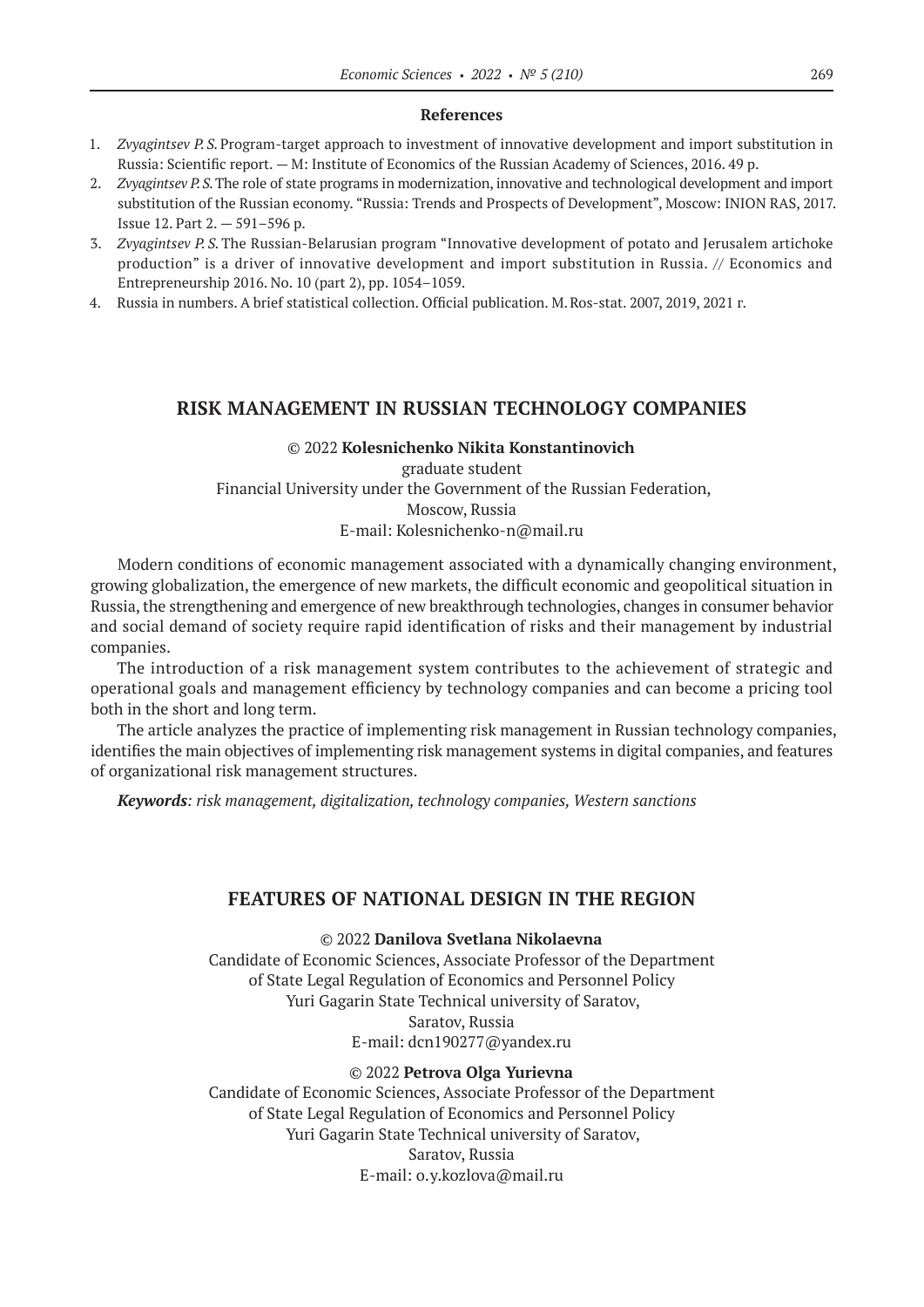#### **References**

- 1. *Zvyagintsev P. S.*Program-target approach to investment of innovative development and import substitution in Russia: Scientific report. — M: Institute of Economics of the Russian Academy of Sciences, 2016. 49 p.
- 2. *Zvyagintsev P.S.*The role of state programs in modernization, innovative and technological development and import substitution of the Russian economy. "Russia: Trends and Prospects of Development", Moscow: INION RAS, 2017. Issue 12. Part 2. — 591–596 p.
- 3. *Zvyagintsev P. S.*The Russian-Belarusian program "Innovative development of potato and Jerusalem artichoke production" is a driver of innovative development and import substitution in Russia. // Economics and Entrepreneurship 2016. No. 10 (part 2), pp. 1054–1059.
- 4. Russia in numbers. A brief statistical collection. Official publication. M.Ros-stat. 2007, 2019, 2021 г.

### **RISK MANAGEMENT IN RUSSIAN TECHNOLOGY COMPANIES**

### © 2022 **Kolesnichenko Nikita Konstantinovich** graduate student Financial University under the Government of the Russian Federation, Moscow, Russia E-mail: Kolesnichenko-n@mail.ru

Modern conditions of economic management associated with a dynamically changing environment, growing globalization, the emergence of new markets, the difficult economic and geopolitical situation in Russia, the strengthening and emergence of new breakthrough technologies, changes in consumer behavior and social demand of society require rapid identification of risks and their management by industrial companies.

The introduction of a risk management system contributes to the achievement of strategic and operational goals and management efficiency by technology companies and can become a pricing tool both in the short and long term.

The article analyzes the practice of implementing risk management in Russian technology companies, identifies the main objectives of implementing risk management systems in digital companies, and features of organizational risk management structures.

*Keywords: risk management, digitalization, technology companies, Western sanctions*

### **FEATURES OF NATIONAL DESIGN IN THE REGION**

© 2022 **Danilova Svetlana Nikolaevna**

Candidate of Economic Sciences, Associate Professor of the Department of State Legal Regulation of Economics and Personnel Policy Yuri Gagarin State Technical university of Saratov, Saratov, Russia Е-mail: dcn190277@yandex.ru

#### © 2022 **Petrova Olga Yurievna**

Candidate of Economic Sciences, Associate Professor of the Department of State Legal Regulation of Economics and Personnel Policy Yuri Gagarin State Technical university of Saratov, Saratov, Russia Е-mail: o.y.kozlova@mail.ru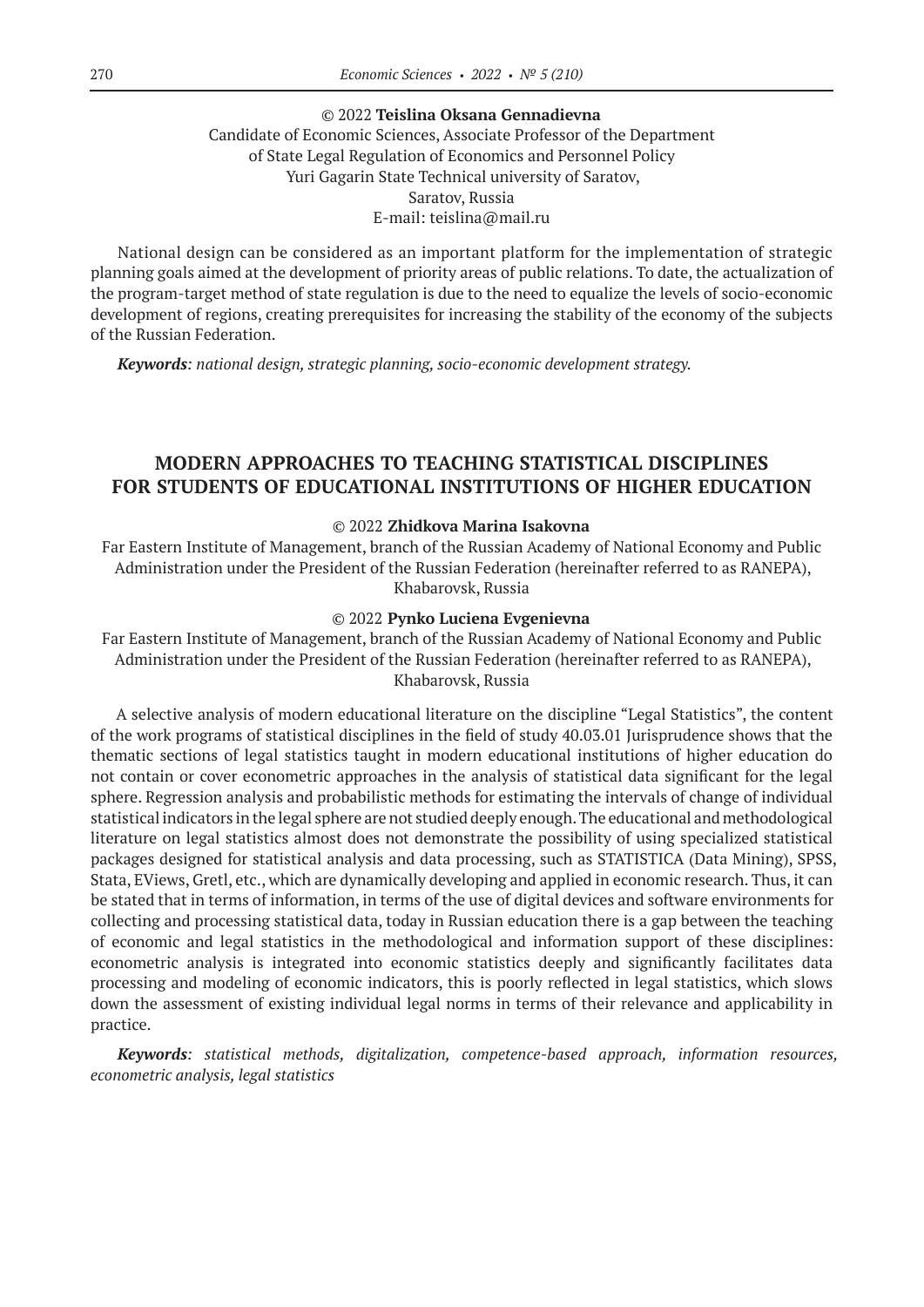### © 2022 **Teislina Oksana Gennadievna**

### Candidate of Economic Sciences, Associate Professor of the Department of State Legal Regulation of Economics and Personnel Policy Yuri Gagarin State Technical university of Saratov, Saratov, Russia Е-mail: teislina@mail.ru

National design can be considered as an important platform for the implementation of strategic planning goals aimed at the development of priority areas of public relations. To date, the actualization of the program-target method of state regulation is due to the need to equalize the levels of socio-economic development of regions, creating prerequisites for increasing the stability of the economy of the subjects of the Russian Federation.

*Keywords: national design, strategic planning, socio-economic development strategy.*

# **MODERN APPROACHES TO TEACHING STATISTICAL DISCIPLINES FOR STUDENTS OF EDUCATIONAL INSTITUTIONS OF HIGHER EDUCATION**

#### © 2022 **Zhidkova Marina Isakovna**

Far Eastern Institute of Management, branch of the Russian Academy of National Economy and Public Administration under the President of the Russian Federation (hereinafter referred to as RANEPA), Khabarovsk, Russia

#### © 2022 **Pynko Luciena Evgenievna**

Far Eastern Institute of Management, branch of the Russian Academy of National Economy and Public Administration under the President of the Russian Federation (hereinafter referred to as RANEPA), Khabarovsk, Russia

A selective analysis of modern educational literature on the discipline "Legal Statistics", the content of the work programs of statistical disciplines in the field of study 40.03.01 Jurisprudence shows that the thematic sections of legal statistics taught in modern educational institutions of higher education do not contain or cover econometric approaches in the analysis of statistical data significant for the legal sphere. Regression analysis and probabilistic methods for estimating the intervals of change of individual statistical indicators in the legal sphere are not studied deeply enough. The educational and methodological literature on legal statistics almost does not demonstrate the possibility of using specialized statistical packages designed for statistical analysis and data processing, such as STATISTICA (Data Mining), SPSS, Stata, EViews, Gretl, etc., which are dynamically developing and applied in economic research. Thus, it can be stated that in terms of information, in terms of the use of digital devices and software environments for collecting and processing statistical data, today in Russian education there is a gap between the teaching of economic and legal statistics in the methodological and information support of these disciplines: econometric analysis is integrated into economic statistics deeply and significantly facilitates data processing and modeling of economic indicators, this is poorly reflected in legal statistics, which slows down the assessment of existing individual legal norms in terms of their relevance and applicability in practice.

*Keywords: statistical methods, digitalization, competence-based approach, information resources, econometric analysis, legal statistics*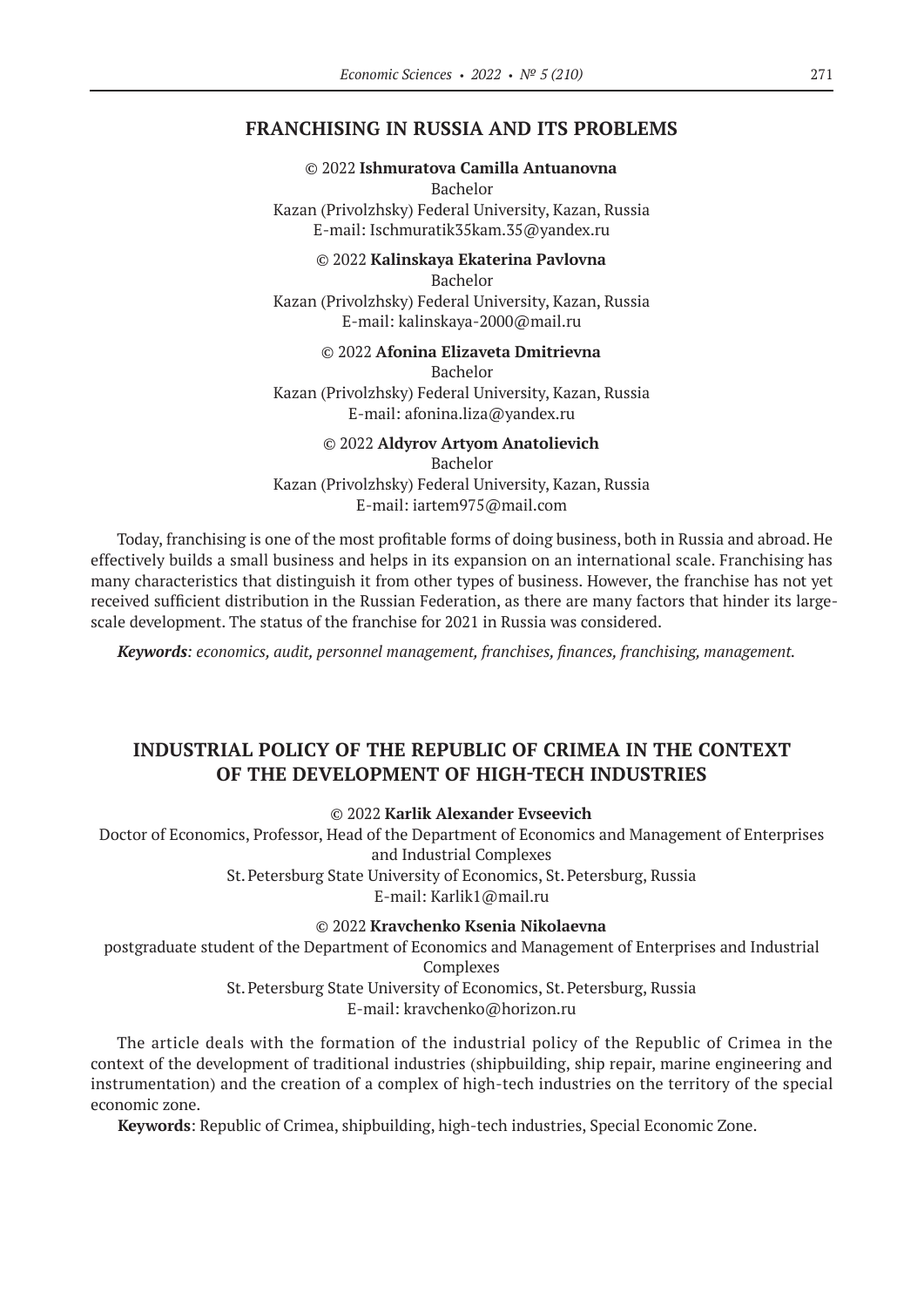### **FRANCHISING IN RUSSIA AND ITS PROBLEMS**

#### © 2022 **Ishmuratova Camilla Antuanovna** Bachelor

Kazan (Privolzhsky) Federal University, Kazan, Russia E-mail: Ischmuratik35kam.35@yandex.ru

© 2022 **Kalinskaya Ekaterina Pavlovna** Bachelor Kazan (Privolzhsky) Federal University, Kazan, Russia E-mail: kalinskaya‑2000@mail.ru

© 2022 **Afonina Elizaveta Dmitrievna** Bachelor Kazan (Privolzhsky) Federal University, Kazan, Russia

E-mail: afonina.liza@yandex.ru

### © 2022 **Aldyrov Artyom Anatolievich**

Bachelor Kazan (Privolzhsky) Federal University, Kazan, Russia

E-mail: iartem975@mail.com

Today, franchising is one of the most profitable forms of doing business, both in Russia and abroad. He effectively builds a small business and helps in its expansion on an international scale. Franchising has many characteristics that distinguish it from other types of business. However, the franchise has not yet received sufficient distribution in the Russian Federation, as there are many factors that hinder its largescale development. The status of the franchise for 2021 in Russia was considered.

*Keywords: economics, audit, personnel management, franchises, finances, franchising, management.*

# **INDUSTRIAL POLICY OF THE REPUBLIC OF CRIMEA IN THE CONTEXT OF THE DEVELOPMENT OF HIGH-TECH INDUSTRIES**

© 2022 **Karlik Alexander Evseevich**

Doctor of Economics, Professor, Head of the Department of Economics and Management of Enterprises and Industrial Complexes

St.Petersburg State University of Economics, St.Petersburg, Russia

E-mail: Karlik1@mail.ru

© 2022 **Kravchenko Ksenia Nikolaevna**

postgraduate student of the Department of Economics and Management of Enterprises and Industrial Complexes St.Petersburg State University of Economics, St.Petersburg, Russia

E-mail: kravchenko@horizon.ru

The article deals with the formation of the industrial policy of the Republic of Crimea in the context of the development of traditional industries (shipbuilding, ship repair, marine engineering and instrumentation) and the creation of a complex of high-tech industries on the territory of the special economic zone.

**Keywords**: Republic of Crimea, shipbuilding, high-tech industries, Special Economic Zone.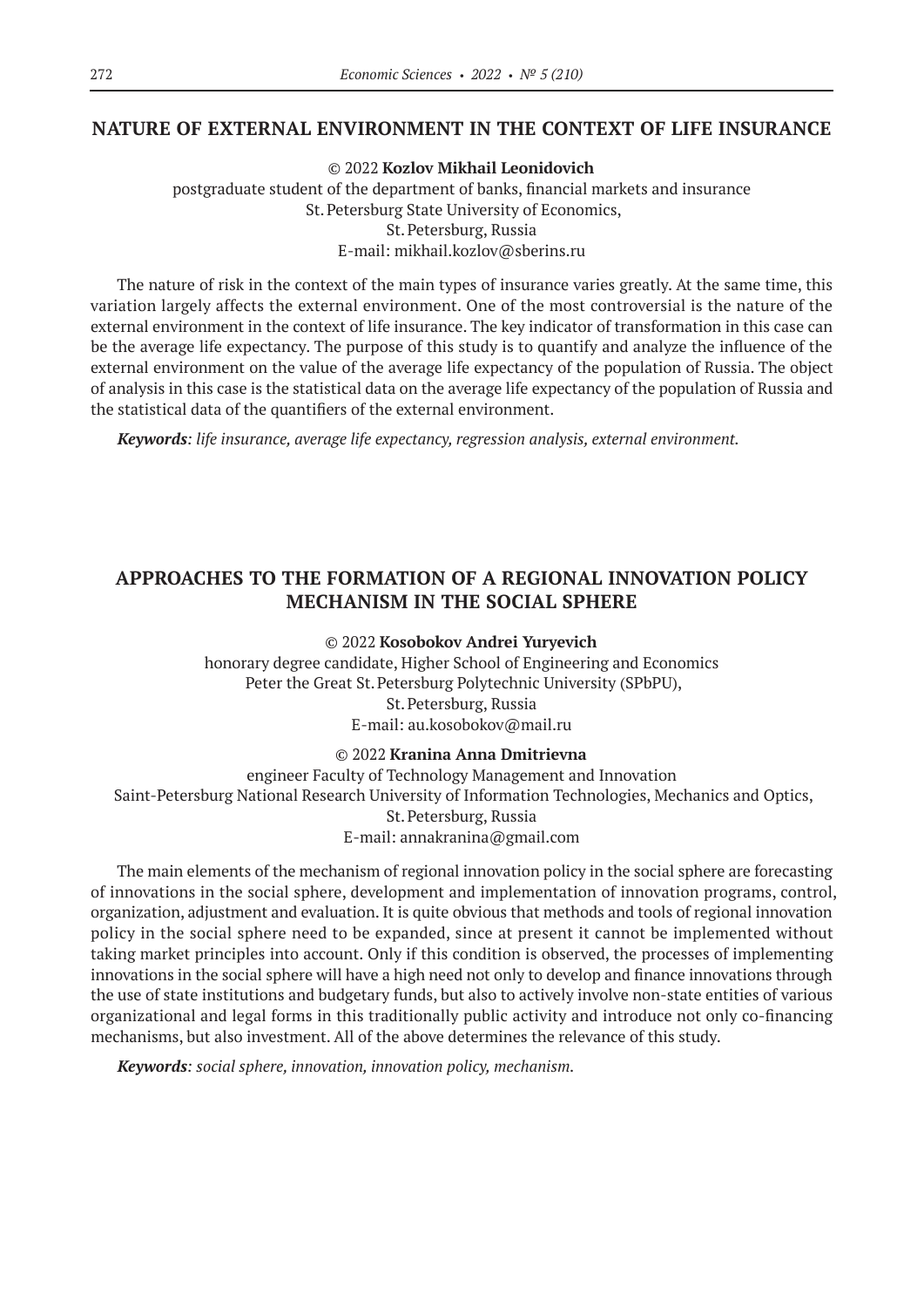### **NATURE OF EXTERNAL ENVIRONMENT IN THE CONTEXT OF LIFE INSURANCE**

© 2022 **Kozlov Mikhail Leonidovich** postgraduate student of the department of banks, financial markets and insurance St.Petersburg State University of Economics, St.Petersburg, Russia E-mail: mikhail.kozlov@sberins.ru

The nature of risk in the context of the main types of insurance varies greatly. At the same time, this variation largely affects the external environment. One of the most controversial is the nature of the external environment in the context of life insurance. The key indicator of transformation in this case can be the average life expectancy. The purpose of this study is to quantify and analyze the influence of the external environment on the value of the average life expectancy of the population of Russia. The object of analysis in this case is the statistical data on the average life expectancy of the population of Russia and the statistical data of the quantifiers of the external environment.

*Keywords: life insurance, average life expectancy, regression analysis, external environment.*

# **APPROACHES TO THE FORMATION OF A REGIONAL INNOVATION POLICY MECHANISM IN THE SOCIAL SPHERE**

#### © 2022 **Kosobokov Andrei Yuryevich**

honorary degree candidate, Higher School of Engineering and Economics Peter the Great St. Petersburg Polytechnic University (SPbPU), St.Petersburg, Russia E-mail: au.kosobokov@mail.ru

### © 2022 **Kranina Anna Dmitrievna**

engineer Faculty of Technology Management and Innovation Saint-Petersburg National Research University of Information Technologies, Mechanics and Optics, St.Petersburg, Russia E-mail: annakranina@gmail.com

The main elements of the mechanism of regional innovation policy in the social sphere are forecasting of innovations in the social sphere, development and implementation of innovation programs, control, organization, adjustment and evaluation. It is quite obvious that methods and tools of regional innovation policy in the social sphere need to be expanded, since at present it cannot be implemented without taking market principles into account. Only if this condition is observed, the processes of implementing innovations in the social sphere will have a high need not only to develop and finance innovations through the use of state institutions and budgetary funds, but also to actively involve non-state entities of various organizational and legal forms in this traditionally public activity and introduce not only co-financing mechanisms, but also investment. All of the above determines the relevance of this study.

*Keywords: social sphere, innovation, innovation policy, mechanism.*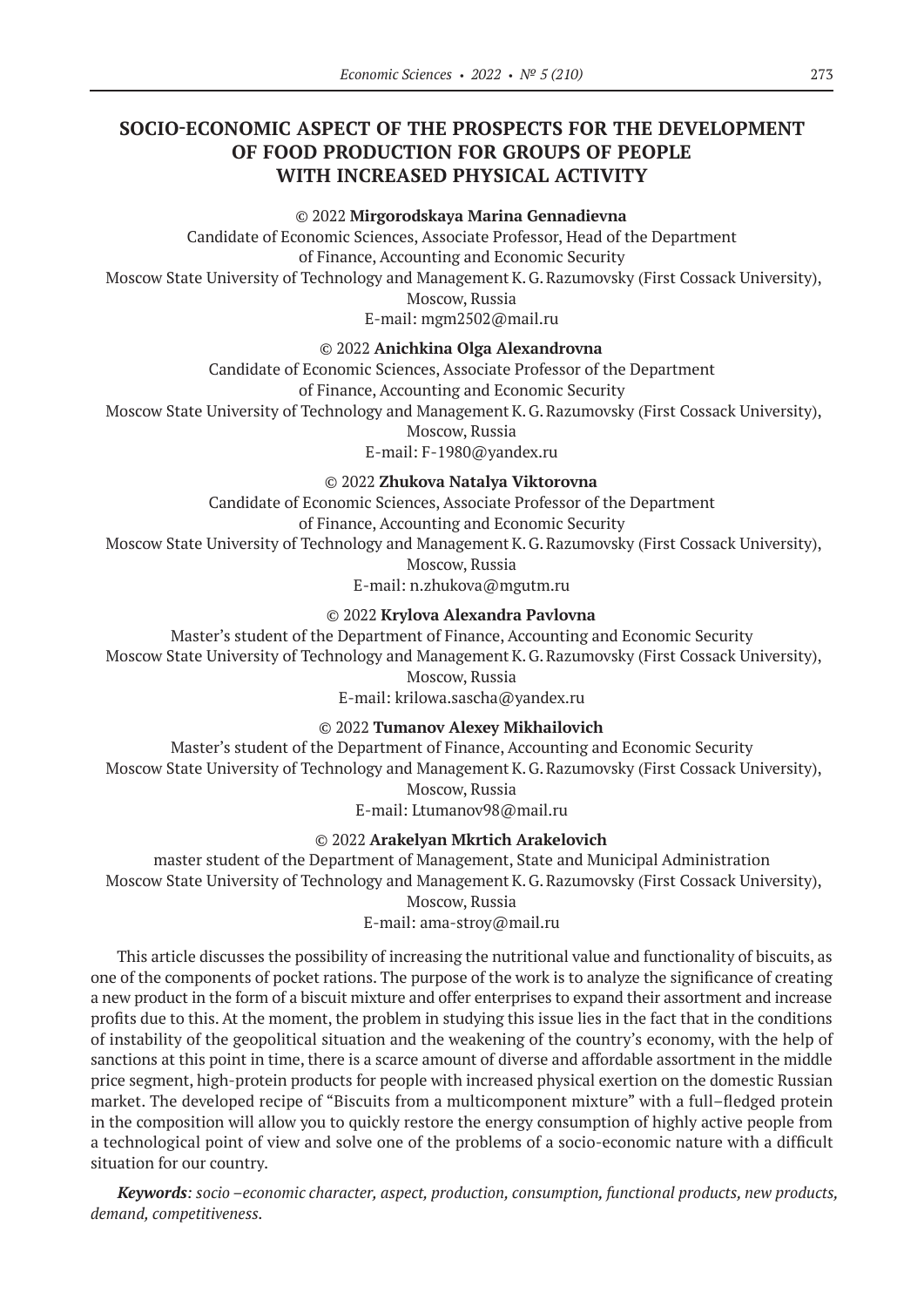# **SOCIO-ECONOMIC ASPECT OF THE PROSPECTS FOR THE DEVELOPMENT OF FOOD PRODUCTION FOR GROUPS OF PEOPLE WITH INCREASED PHYSICAL ACTIVITY**

#### © 2022 **Mirgorodskaya Marina Gennadievna**

Candidate of Economic Sciences, Associate Professor, Head of the Department of Finance, Accounting and Economic Security Moscow State University of Technology and Management K.G.Razumovsky (First Cossack University), Moscow, Russia E-mail: mgm2502@mail.ru

© 2022 **Anichkina Olga Alexandrovna**

Candidate of Economic Sciences, Associate Professor of the Department

of Finance, Accounting and Economic Security

Moscow State University of Technology and Management K.G.Razumovsky (First Cossack University),

Moscow, Russia

E-mail: F‑1980@yandex.ru

© 2022 **Zhukova Natalya Viktorovna**

Candidate of Economic Sciences, Associate Professor of the Department

of Finance, Accounting and Economic Security

Moscow State University of Technology and Management K.G.Razumovsky (First Cossack University),

Moscow, Russia

E-mail: n.zhukova@mgutm.ru

### © 2022 **Krylova Alexandra Pavlovna**

Master's student of the Department of Finance, Accounting and Economic Security Moscow State University of Technology and Management K.G.Razumovsky (First Cossack University), Moscow, Russia

E-mail: krilowa.sascha@yandex.ru

© 2022 **Tumanov Alexey Mikhailovich**

Master's student of the Department of Finance, Accounting and Economic Security Moscow State University of Technology and Management K.G.Razumovsky (First Cossack University), Moscow, Russia

E-mail: Ltumanov98@mail.ru

#### © 2022 **Arakelyan Mkrtich Arakelovich**

master student of the Department of Management, State and Municipal Administration Moscow State University of Technology and Management K.G.Razumovsky (First Cossack University),

Moscow, Russia

E-mail: ama-stroy@mail.ru

This article discusses the possibility of increasing the nutritional value and functionality of biscuits, as one of the components of pocket rations. The purpose of the work is to analyze the significance of creating a new product in the form of a biscuit mixture and offer enterprises to expand their assortment and increase profits due to this. At the moment, the problem in studying this issue lies in the fact that in the conditions of instability of the geopolitical situation and the weakening of the country's economy, with the help of sanctions at this point in time, there is a scarce amount of diverse and affordable assortment in the middle price segment, high-protein products for people with increased physical exertion on the domestic Russian market. The developed recipe of "Biscuits from a multicomponent mixture" with a full–fledged protein in the composition will allow you to quickly restore the energy consumption of highly active people from a technological point of view and solve one of the problems of a socio-economic nature with a difficult situation for our country.

*Keywords: socio –economic character, aspect, production, consumption, functional products, new products, demand, competitiveness.*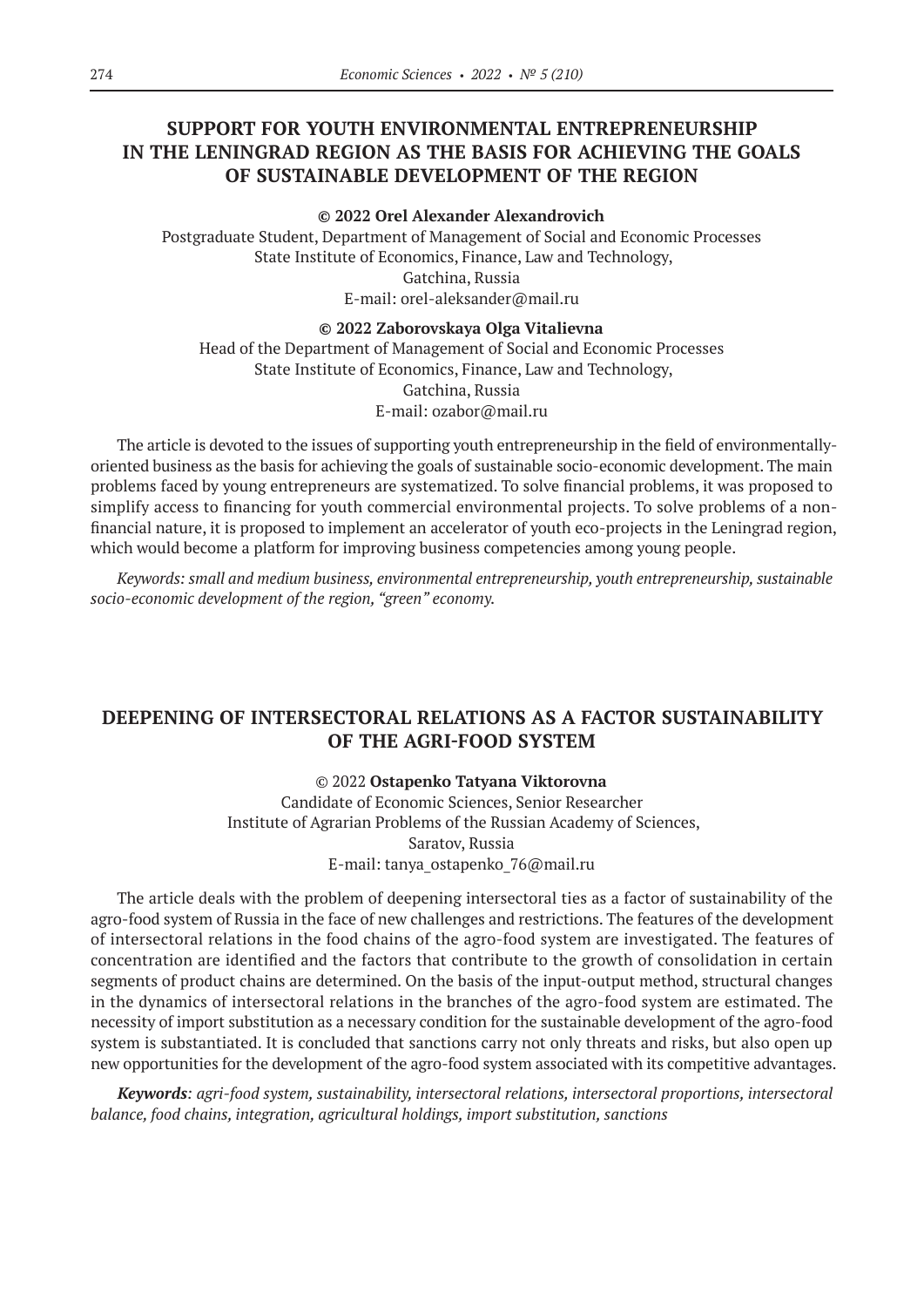# **SUPPORT FOR YOUTH ENVIRONMENTAL ENTREPRENEURSHIP IN THE LENINGRAD REGION AS THE BASIS FOR ACHIEVING THE GOALS OF SUSTAINABLE DEVELOPMENT OF THE REGION**

**© 2022 Orel Alexander Alexandrovich**

Postgraduate Student, Department of Management of Social and Economic Processes State Institute of Economics, Finance, Law and Technology, Gatchina, Russia E-mail: orel-aleksander@mail.ru

#### **© 2022 Zaborovskaya Olga Vitalievna**

Head of the Department of Management of Social and Economic Processes State Institute of Economics, Finance, Law and Technology, Gatchina, Russia E-mail: ozabor@mail.ru

The article is devoted to the issues of supporting youth entrepreneurship in the field of environmentallyoriented business as the basis for achieving the goals of sustainable socio-economic development. The main problems faced by young entrepreneurs are systematized. To solve financial problems, it was proposed to simplify access to financing for youth commercial environmental projects. To solve problems of a nonfinancial nature, it is proposed to implement an accelerator of youth eco-projects in the Leningrad region, which would become a platform for improving business competencies among young people.

*Keywords: small and medium business, environmental entrepreneurship, youth entrepreneurship, sustainable socio-economic development of the region, "green" economy.*

# **DEEPENING OF INTERSECTORAL RELATIONS AS A FACTOR SUSTAINABILITY OF THE AGRI-FOOD SYSTEM**

### © 2022 **Ostapenko Tatyana Viktorovna**

Candidate of Economic Sciences, Senior Researcher Institute of Agrarian Problems of the Russian Academy of Sciences, Saratov, Russia E-mail: tanya\_ostapenko\_76@mail.ru

The article deals with the problem of deepening intersectoral ties as a factor of sustainability of the agro-food system of Russia in the face of new challenges and restrictions. The features of the development of intersectoral relations in the food chains of the agro-food system are investigated. The features of concentration are identified and the factors that contribute to the growth of consolidation in certain segments of product chains are determined. On the basis of the input-output method, structural changes in the dynamics of intersectoral relations in the branches of the agro-food system are estimated. The necessity of import substitution as a necessary condition for the sustainable development of the agro-food system is substantiated. It is concluded that sanctions carry not only threats and risks, but also open up new opportunities for the development of the agro-food system associated with its competitive advantages.

*Keywords: agri-food system, sustainability, intersectoral relations, intersectoral proportions, intersectoral balance, food chains, integration, agricultural holdings, import substitution, sanctions*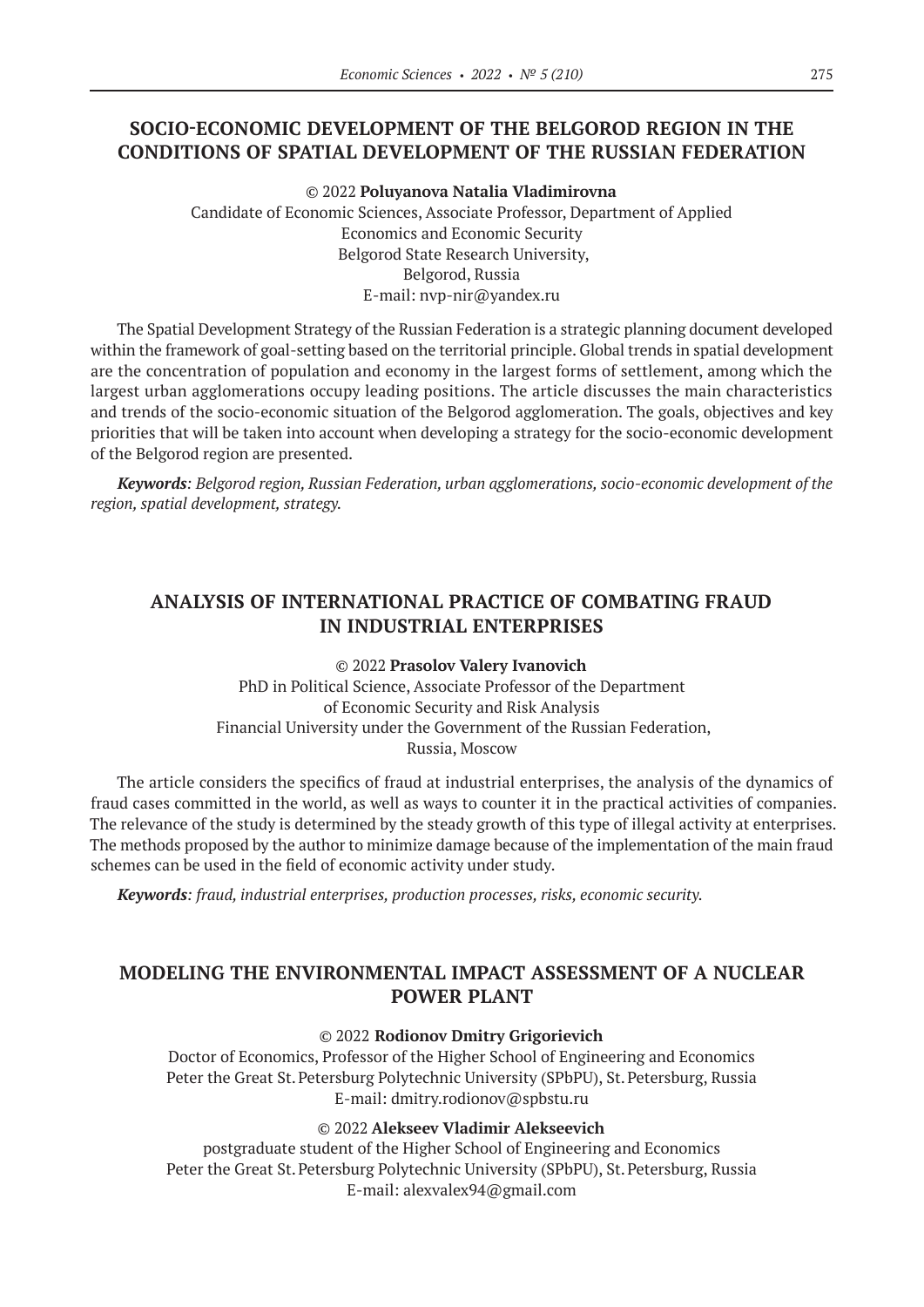# **SOCIO-ECONOMIC DEVELOPMENT OF THE BELGOROD REGION IN THE CONDITIONS OF SPATIAL DEVELOPMENT OF THE RUSSIAN FEDERATION**

© 2022 **Poluyanova Natalia Vladimirovna** Candidate of Economic Sciences, Associate Professor, Department of Applied Economics and Economic Security Belgorod State Research University, Belgorod, Russia E-mail: nvp-nir@yandex.ru

The Spatial Development Strategy of the Russian Federation is a strategic planning document developed within the framework of goal-setting based on the territorial principle. Global trends in spatial development are the concentration of population and economy in the largest forms of settlement, among which the largest urban agglomerations occupy leading positions. The article discusses the main characteristics and trends of the socio-economic situation of the Belgorod agglomeration. The goals, objectives and key priorities that will be taken into account when developing a strategy for the socio-economic development of the Belgorod region are presented.

*Keywords: Belgorod region, Russian Federation, urban agglomerations, socio-economic development of the region, spatial development, strategy.*

# **ANALYSIS OF INTERNATIONAL PRACTICE OF COMBATING FRAUD IN INDUSTRIAL ENTERPRISES**

© 2022 **Prasolov Valery Ivanovich** PhD in Political Science, Associate Professor of the Department of Economic Security and Risk Analysis Financial University under the Government of the Russian Federation, Russia, Moscow

The article considers the specifics of fraud at industrial enterprises, the analysis of the dynamics of fraud cases committed in the world, as well as ways to counter it in the practical activities of companies. The relevance of the study is determined by the steady growth of this type of illegal activity at enterprises. The methods proposed by the author to minimize damage because of the implementation of the main fraud schemes can be used in the field of economic activity under study.

*Keywords: fraud, industrial enterprises, production processes, risks, economic security.*

# **MODELING THE ENVIRONMENTAL IMPACT ASSESSMENT OF A NUCLEAR POWER PLANT**

### © 2022 **Rodionov Dmitry Grigorievich**

Doctor of Economics, Professor of the Higher School of Engineering and Economics Peter the Great St. Petersburg Polytechnic University (SPbPU), St. Petersburg, Russia E-mail: dmitry.rodionov@spbstu.ru

© 2022 **Alekseev Vladimir Alekseevich**

postgraduate student of the Higher School of Engineering and Economics Peter the Great St. Petersburg Polytechnic University (SPbPU), St. Petersburg, Russia E-mail: alexvalex94@gmail.com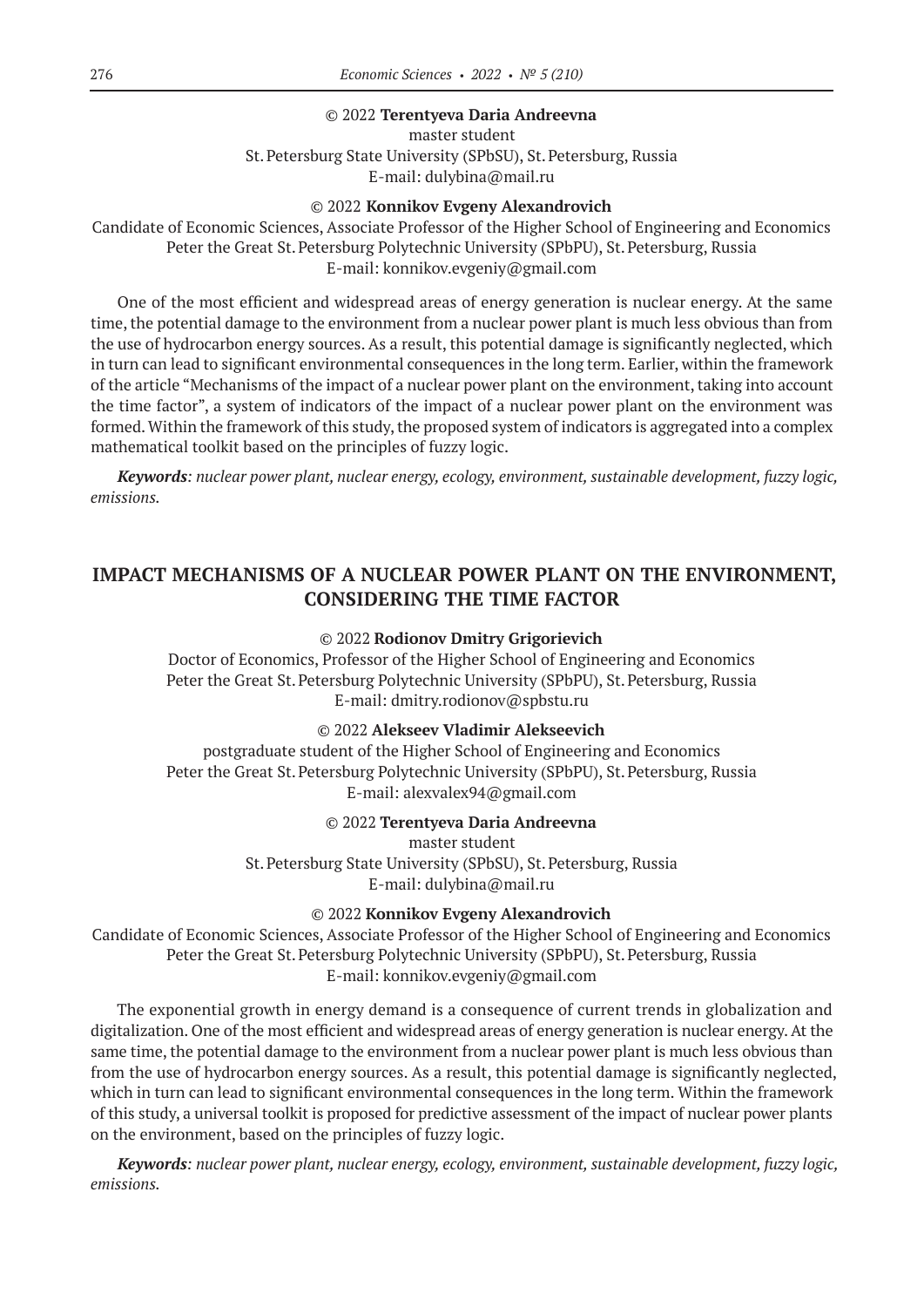#### © 2022 **Terentyeva Daria Andreevna**

master student St.Petersburg State University (SPbSU), St.Petersburg, Russia E-mail: dulybina@mail.ru

#### © 2022 **Konnikov Evgeny Alexandrovich**

Candidate of Economic Sciences, Associate Professor of the Higher School of Engineering and Economics Peter the Great St. Petersburg Polytechnic University (SPbPU), St. Petersburg, Russia E-mail: konnikov.evgeniy@gmail.com

One of the most efficient and widespread areas of energy generation is nuclear energy. At the same time, the potential damage to the environment from a nuclear power plant is much less obvious than from the use of hydrocarbon energy sources. As a result, this potential damage is significantly neglected, which in turn can lead to significant environmental consequences in the long term. Earlier, within the framework of the article "Mechanisms of the impact of a nuclear power plant on the environment, taking into account the time factor", a system of indicators of the impact of a nuclear power plant on the environment was formed. Within the framework of this study, the proposed system of indicators is aggregated into a complex mathematical toolkit based on the principles of fuzzy logic.

*Keywords: nuclear power plant, nuclear energy, ecology, environment, sustainable development, fuzzy logic, emissions.*

# **IMPACT MECHANISMS OF A NUCLEAR POWER PLANT ON THE ENVIRONMENT, CONSIDERING THE TIME FACTOR**

#### © 2022 **Rodionov Dmitry Grigorievich**

Doctor of Economics, Professor of the Higher School of Engineering and Economics Peter the Great St. Petersburg Polytechnic University (SPbPU), St. Petersburg, Russia E-mail: dmitry.rodionov@spbstu.ru

### © 2022 **Alekseev Vladimir Alekseevich**

postgraduate student of the Higher School of Engineering and Economics Peter the Great St. Petersburg Polytechnic University (SPbPU), St. Petersburg, Russia E-mail: alexvalex94@gmail.com

### © 2022 **Terentyeva Daria Andreevna**

master student

St.Petersburg State University (SPbSU), St.Petersburg, Russia E-mail: dulybina@mail.ru

#### © 2022 **Konnikov Evgeny Alexandrovich**

Candidate of Economic Sciences, Associate Professor of the Higher School of Engineering and Economics Peter the Great St. Petersburg Polytechnic University (SPbPU), St. Petersburg, Russia E-mail: konnikov.evgeniy@gmail.com

The exponential growth in energy demand is a consequence of current trends in globalization and digitalization. One of the most efficient and widespread areas of energy generation is nuclear energy. At the same time, the potential damage to the environment from a nuclear power plant is much less obvious than from the use of hydrocarbon energy sources. As a result, this potential damage is significantly neglected, which in turn can lead to significant environmental consequences in the long term. Within the framework of this study, a universal toolkit is proposed for predictive assessment of the impact of nuclear power plants on the environment, based on the principles of fuzzy logic.

*Keywords: nuclear power plant, nuclear energy, ecology, environment, sustainable development, fuzzy logic, emissions.*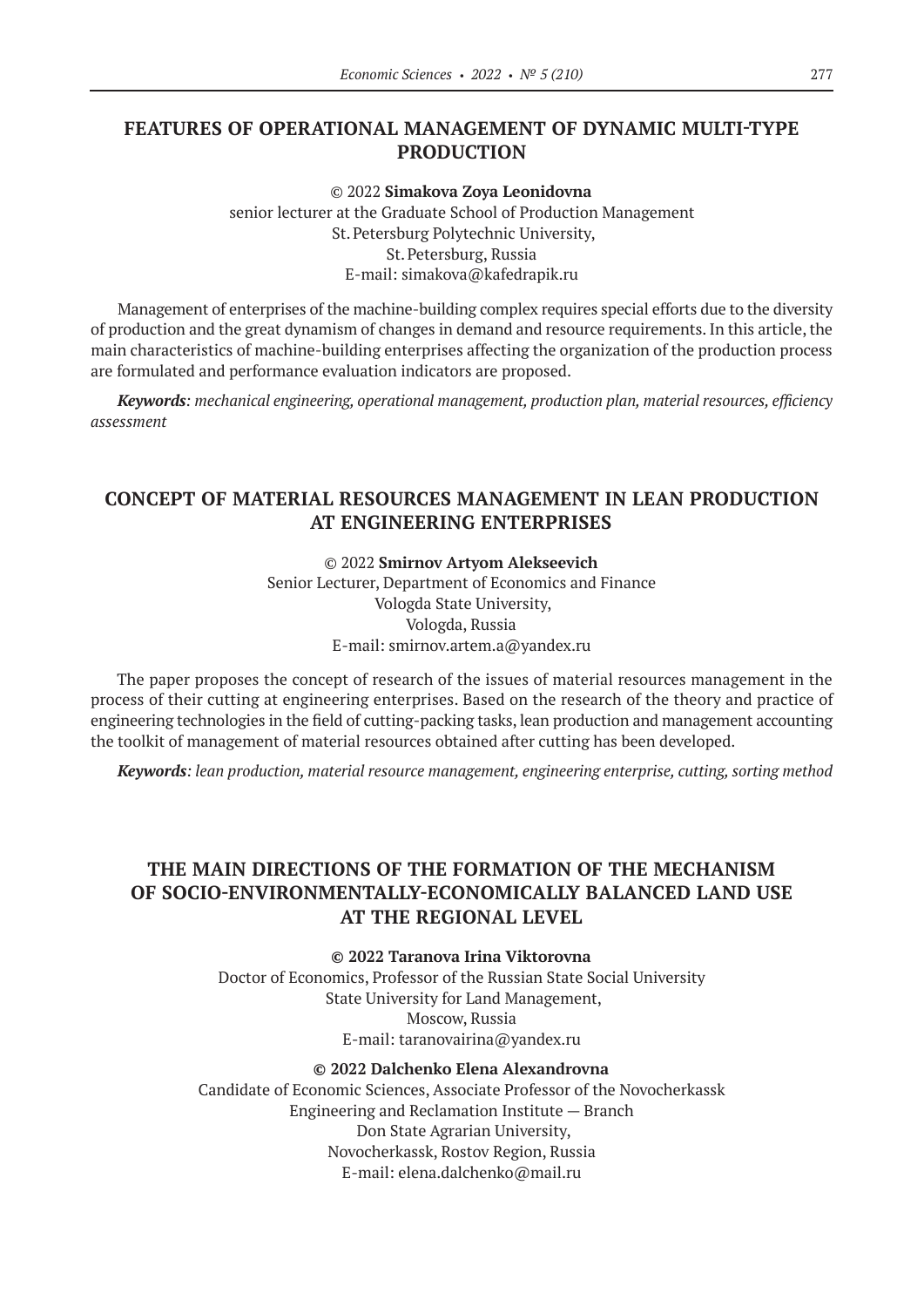# **FEATURES OF OPERATIONAL MANAGEMENT OF DYNAMIC MULTI-TYPE PRODUCTION**

© 2022 **Simakova Zoya Leonidovna** senior lecturer at the Graduate School of Production Management St.Petersburg Polytechnic University, St.Petersburg, Russia E-mail: simakova@kafedrapik.ru

Management of enterprises of the machine-building complex requires special efforts due to the diversity of production and the great dynamism of changes in demand and resource requirements. In this article, the main characteristics of machine-building enterprises affecting the organization of the production process are formulated and performance evaluation indicators are proposed.

*Keywords: mechanical engineering, operational management, production plan, material resources, efficiency assessment*

# **CONCEPT OF MATERIAL RESOURCES MANAGEMENT IN LEAN PRODUCTION AT ENGINEERING ENTERPRISES**

© 2022 **Smirnov Artyom Alekseevich**

Senior Lecturer, Department of Economics and Finance Vologda State University, Vologda, Russia E-mail: smirnov.artem.a@yandex.ru

The paper proposes the concept of research of the issues of material resources management in the process of their cutting at engineering enterprises. Based on the research of the theory and practice of engineering technologies in the field of cutting-packing tasks, lean production and management accounting the toolkit of management of material resources obtained after cutting has been developed.

*Keywords: lean production, material resource management, engineering enterprise, cutting, sorting method*

# **THE MAIN DIRECTIONS OF THE FORMATION OF THE MECHANISM OF SOCIO-ENVIRONMENTALLY-ECONOMICALLY BALANCED LAND USE AT THE REGIONAL LEVEL**

**© 2022 Taranova Irina Viktorovna**

Doctor of Economics, Professor of the Russian State Social University State University for Land Management, Moscow, Russia E-mail: taranovairina@yandex.ru

#### **© 2022 Dalchenko Elena Alexandrovna**

Candidate of Economic Sciences, Associate Professor of the Novocherkassk Engineering and Reclamation Institute — Branch Don State Agrarian University, Novocherkassk, Rostov Region, Russia E-mail: elena.dalchenko@mail.ru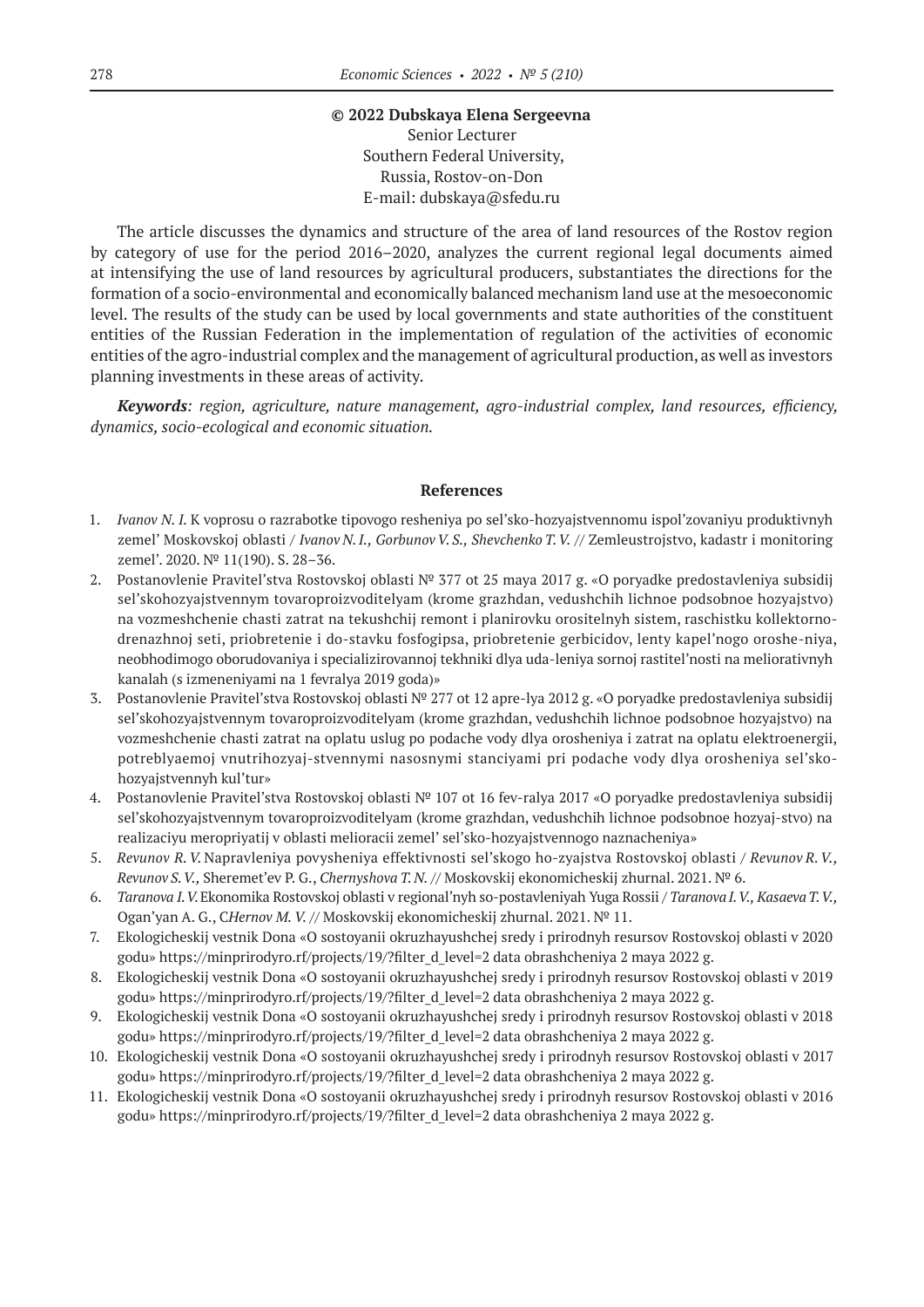#### **© 2022 Dubskaya Elena Sergeevna**

Senior Lecturer Southern Federal University, Russia, Rostov-on-Don E-mail: dubskaya@sfedu.ru

The article discusses the dynamics and structure of the area of land resources of the Rostov region by category of use for the period 2016–2020, analyzes the current regional legal documents aimed at intensifying the use of land resources by agricultural producers, substantiates the directions for the formation of a socio-environmental and economically balanced mechanism land use at the mesoeconomic level. The results of the study can be used by local governments and state authorities of the constituent entities of the Russian Federation in the implementation of regulation of the activities of economic entities of the agro-industrial complex and the management of agricultural production, as well as investors planning investments in these areas of activity.

*Keywords: region, agriculture, nature management, agro-industrial complex, land resources, efficiency, dynamics, socio-ecological and economic situation.*

#### **References**

- 1. *Ivanov N. I.* K voprosu o razrabotke tipovogo resheniya po sel'sko-hozyajstvennomu ispol'zovaniyu produktivnyh zemel' Moskovskoj oblasti / *Ivanov N. I., Gorbunov V. S., Shevchenko T. V.* // Zemleustrojstvo, kadastr i monitoring zemel'. 2020. № 11(190). S. 28–36.
- 2. Postanovlenie Pravitel'stva Rostovskoj oblasti № 377 ot 25 maya 2017 g. «O poryadke predostavleniya subsidij sel'skohozyajstvennym tovaroproizvoditelyam (krome grazhdan, vedushchih lichnoe podsobnoe hozyajstvo) na vozmeshchenie chasti zatrat na tekushchij remont i planirovku orositelnyh sistem, raschistku kollektornodrenazhnoj seti, priobretenie i do-stavku fosfogipsa, priobretenie gerbicidov, lenty kapel'nogo oroshe-niya, neobhodimogo oborudovaniya i specializirovannoj tekhniki dlya uda-leniya sornoj rastitel'nosti na meliorativnyh kanalah (s izmeneniyami na 1 fevralya 2019 goda)»
- 3. Postanovlenie Pravitel'stva Rostovskoj oblasti № 277 ot 12 apre-lya 2012 g. «O poryadke predostavleniya subsidij sel'skohozyajstvennym tovaroproizvoditelyam (krome grazhdan, vedushchih lichnoe podsobnoe hozyajstvo) na vozmeshchenie chasti zatrat na oplatu uslug po podache vody dlya orosheniya i zatrat na oplatu elektroenergii, potreblyaemoj vnutrihozyaj-stvennymi nasosnymi stanciyami pri podache vody dlya orosheniya sel'skohozyajstvennyh kul'tur»
- 4. Postanovlenie Pravitel'stva Rostovskoj oblasti № 107 ot 16 fev-ralya 2017 «O poryadke predostavleniya subsidij sel'skohozyajstvennym tovaroproizvoditelyam (krome grazhdan, vedushchih lichnoe podsobnoe hozyaj-stvo) na realizaciyu meropriyatij v oblasti melioracii zemel' sel'sko-hozyajstvennogo naznacheniya»
- 5. *Revunov R.V.* Napravleniya povysheniya effektivnosti sel'skogo ho-zyajstva Rostovskoj oblasti / *Revunov R.V., Revunov S.V.,* Sheremet'ev P. G., *Chernyshova T.N.* // Moskovskij ekonomicheskij zhurnal. 2021. № 6.
- 6. *Taranova I. V.*Ekonomika Rostovskoj oblasti v regional'nyh so-postavleniyah Yuga Rossii / *Taranova I. V., Kasaeva T. V.,* Ogan'yan A. G., C*Hernov M. V.* // Moskovskij ekonomicheskij zhurnal. 2021. № 11.
- 7. Ekologicheskij vestnik Dona «O sostoyanii okruzhayushchej sredy i prirodnyh resursov Rostovskoj oblasti v 2020 godu» https://minprirodyro.rf/projects/19/?filter\_d\_level=2 data obrashcheniya 2 maya 2022 g.
- 8. Ekologicheskij vestnik Dona «O sostoyanii okruzhayushchej sredy i prirodnyh resursov Rostovskoj oblasti v 2019 godu» https://minprirodyro.rf/projects/19/?filter\_d\_level=2 data obrashcheniya 2 maya 2022 g.
- 9. Ekologicheskij vestnik Dona «O sostoyanii okruzhayushchej sredy i prirodnyh resursov Rostovskoj oblasti v 2018 godu» https://minprirodyro.rf/projects/19/?filter\_d\_level=2 data obrashcheniya 2 maya 2022 g.
- 10. Ekologicheskij vestnik Dona «O sostoyanii okruzhayushchej sredy i prirodnyh resursov Rostovskoj oblasti v 2017 godu» https://minprirodyro.rf/projects/19/?filter\_d\_level=2 data obrashcheniya 2 maya 2022 g.
- 11. Ekologicheskij vestnik Dona «O sostoyanii okruzhayushchej sredy i prirodnyh resursov Rostovskoj oblasti v 2016 godu» https://minprirodyro.rf/projects/19/?filter\_d\_level=2 data obrashcheniya 2 maya 2022 g.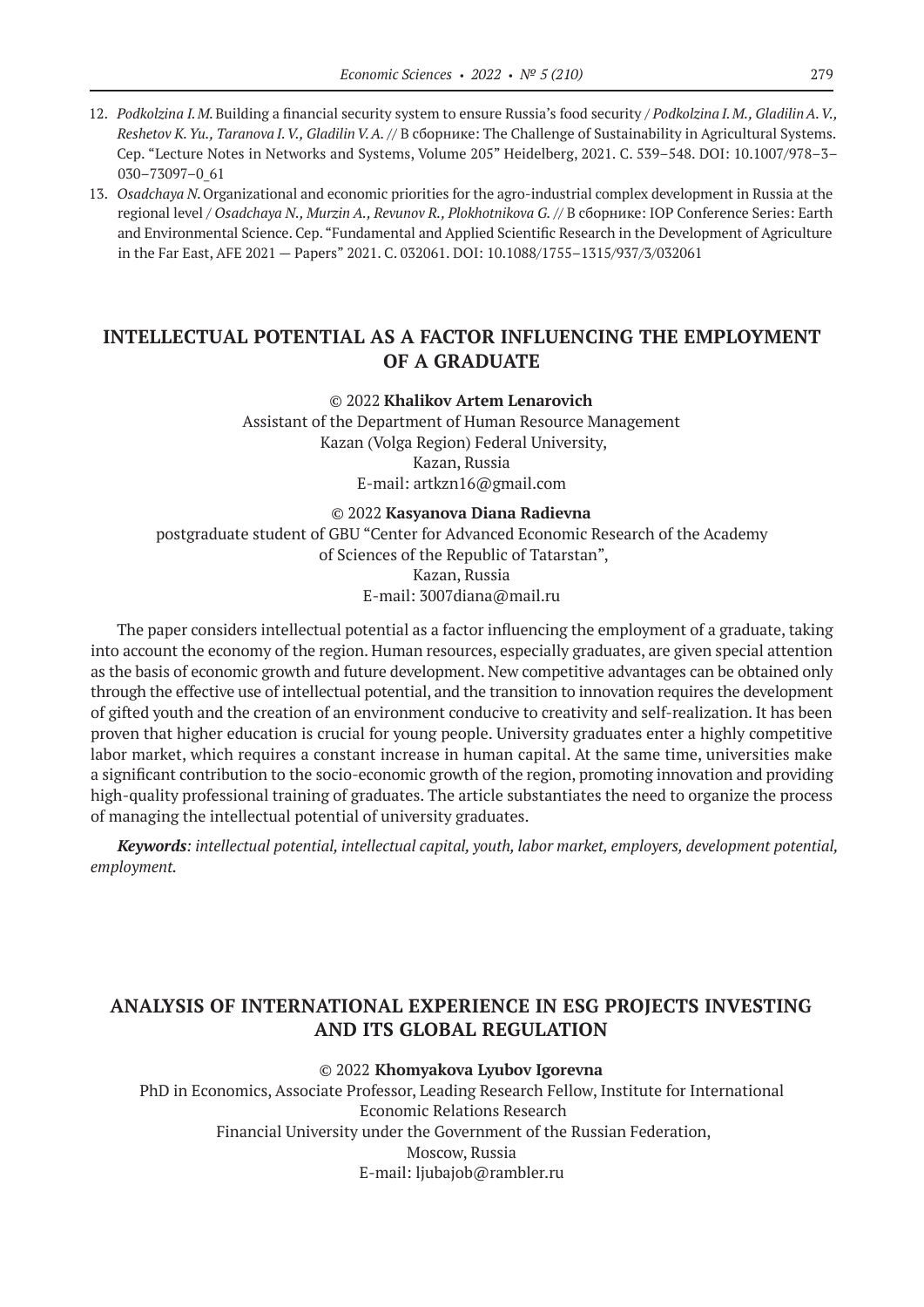- 12. *Podkolzina I. M.*Building a financial security system to ensure Russia's food security / *Podkolzina I. M., Gladilin A. V., Reshetov K. Yu., Taranova I. V., Gladilin V. A.* // В сборнике: The Challenge of Sustainability in Agricultural Systems. Сер. "Lecture Notes in Networks and Systems, Volume 205" Heidelberg, 2021. С. 539–548. DOI: 10.1007/978–3– 030–73097–0\_61
- 13. *Osadchaya N.*Organizational and economic priorities for the agro-industrial complex development in Russia at the regional level / *Osadchaya N., Murzin A., Revunov R., Plokhotnikova G.* // В сборнике: IOP Conference Series: Earth and Environmental Science. Сер. "Fundamental and Applied Scientific Research in the Development of Agriculture in the Far East, AFE 2021 — Papers" 2021. С. 032061. DOI: 10.1088/1755–1315/937/3/032061

# **INTELLECTUAL POTENTIAL AS A FACTOR INFLUENCING THE EMPLOYMENT OF A GRADUATE**

#### © 2022 **Khalikov Artem Lenarovich**

Assistant of the Department of Human Resource Management Kazan (Volga Region) Federal University, Kazan, Russia E-mail: artkzn16@gmail.com

#### © 2022 **Kasyanova Diana Radievna**

postgraduate student of GBU "Center for Advanced Economic Research of the Academy of Sciences of the Republic of Tatarstan", Kazan, Russia E-mail: 3007diana@mail.ru

The paper considers intellectual potential as a factor influencing the employment of a graduate, taking into account the economy of the region. Human resources, especially graduates, are given special attention as the basis of economic growth and future development. New competitive advantages can be obtained only through the effective use of intellectual potential, and the transition to innovation requires the development of gifted youth and the creation of an environment conducive to creativity and self-realization. It has been proven that higher education is crucial for young people. University graduates enter a highly competitive labor market, which requires a constant increase in human capital. At the same time, universities make a significant contribution to the socio-economic growth of the region, promoting innovation and providing high-quality professional training of graduates. The article substantiates the need to organize the process of managing the intellectual potential of university graduates.

*Keywords: intellectual potential, intellectual capital, youth, labor market, employers, development potential, employment.*

### **ANALYSIS OF INTERNATIONAL EXPERIENCE IN ESG PROJECTS INVESTING AND ITS GLOBAL REGULATION**

#### © 2022 **Khomyakova Lyubov Igorevna**

PhD in Economics, Associate Professor, Leading Research Fellow, Institute for International Economic Relations Research Financial University under the Government of the Russian Federation, Moscow, Russia E-mail: ljubajob@rambler.ru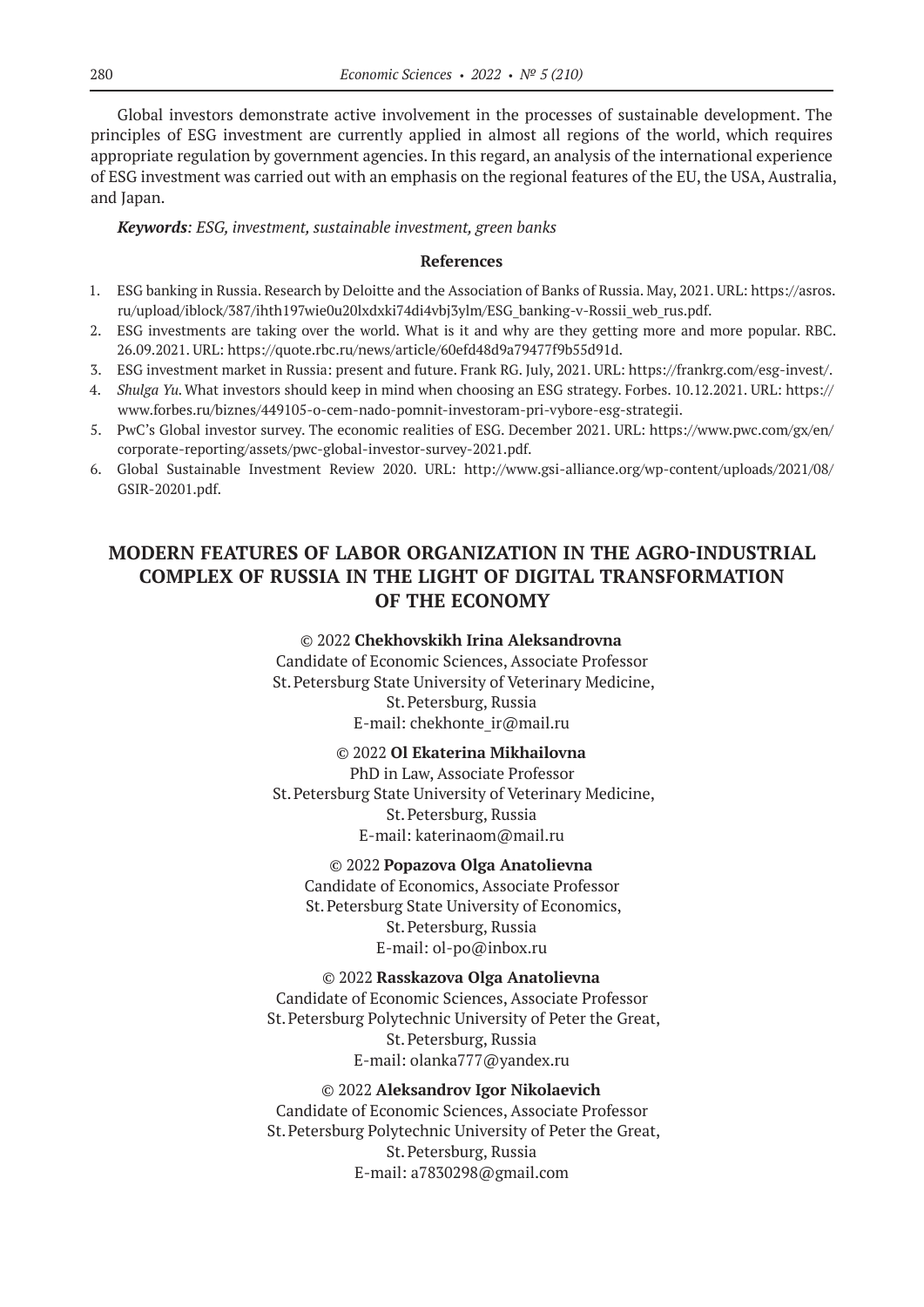Global investors demonstrate active involvement in the processes of sustainable development. The principles of ESG investment are currently applied in almost all regions of the world, which requires appropriate regulation by government agencies. In this regard, an analysis of the international experience of ESG investment was carried out with an emphasis on the regional features of the EU, the USA, Australia, and Japan.

### *Keywords: ESG, investment, sustainable investment, green banks*

### **References**

- 1. ESG banking in Russia. Research by Deloitte and the Association of Banks of Russia. May, 2021. URL: https://asros. ru/upload/iblock/387/ihth197wie0u20lxdxki74di4vbj3ylm/ESG\_banking-v-Rossii\_web\_rus.pdf.
- 2. ESG investments are taking over the world. What is it and why are they getting more and more popular. RBC. 26.09.2021. URL: https://quote.rbc.ru/news/article/60efd48d9a79477f9b55d91d.
- 3. ESG investment market in Russia: present and future. Frank RG. July, 2021. URL: https://frankrg.com/esg-invest/.
- 4. *Shulga Yu.*What investors should keep in mind when choosing an ESG strategy. Forbes. 10.12.2021. URL: https:// www.forbes.ru/biznes/449105‑o-cem-nado-pomnit-investoram-pri-vybore-esg-strategii.
- 5. PwC's Global investor survey. The economic realities of ESG. December 2021. URL: https://www.pwc.com/gx/en/ corporate-reporting/assets/pwc-global-investor-survey-2021.pdf.
- 6. Global Sustainable Investment Review 2020. URL: http://www.gsi-alliance.org/wp-content/uploads/2021/08/ GSIR‑20201.pdf.

# **MODERN FEATURES OF LABOR ORGANIZATION IN THE AGRO-INDUSTRIAL COMPLEX OF RUSSIA IN THE LIGHT OF DIGITAL TRANSFORMATION OF THE ECONOMY**

© 2022 **Chekhovskikh Irina Aleksandrovna** Candidate of Economic Sciences, Associate Professor St.Petersburg State University of Veterinary Medicine, St.Petersburg, Russia E-mail: chekhonte\_ir@mail.ru

### © 2022 **Ol Ekaterina Mikhailovna**

PhD in Law, Associate Professor St.Petersburg State University of Veterinary Medicine, St.Petersburg, Russia E-mail: katerinaom@mail.ru

### © 2022 **Popazova Olga Anatolievna**

Candidate of Economics, Associate Professor St.Petersburg State University of Economics, St.Petersburg, Russia E-mail: ol-po@inbox.ru

### © 2022 **Rasskazova Olga Anatolievna**

Candidate of Economic Sciences, Associate Professor St.Petersburg Polytechnic University of Peter the Great, St.Petersburg, Russia E-mail: olanka777@yandex.ru

### © 2022 **Aleksandrov Igor Nikolaevich** Candidate of Economic Sciences, Associate Professor St.Petersburg Polytechnic University of Peter the Great, St.Petersburg, Russia E-mail: a7830298@gmail.com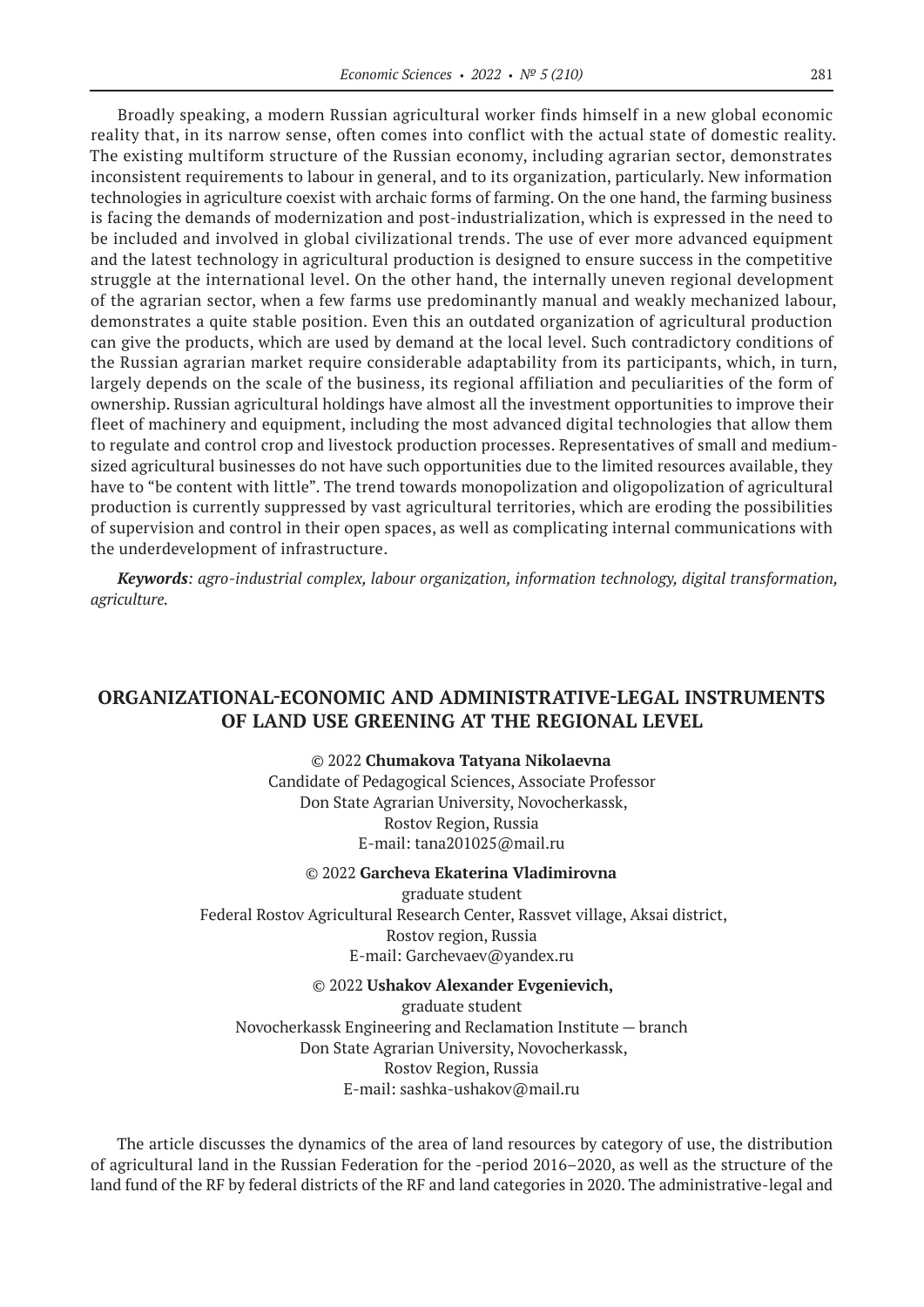Broadly speaking, a modern Russian agricultural worker finds himself in a new global economic reality that, in its narrow sense, often comes into conflict with the actual state of domestic reality. The existing multiform structure of the Russian economy, including agrarian sector, demonstrates inconsistent requirements to labour in general, and to its organization, particularly. New information technologies in agriculture coexist with archaic forms of farming. On the one hand, the farming business is facing the demands of modernization and post-industrialization, which is expressed in the need to be included and involved in global civilizational trends. The use of ever more advanced equipment and the latest technology in agricultural production is designed to ensure success in the competitive struggle at the international level. On the other hand, the internally uneven regional development of the agrarian sector, when a few farms use predominantly manual and weakly mechanized labour, demonstrates a quite stable position. Even this an outdated organization of agricultural production can give the products, which are used by demand at the local level. Such contradictory conditions of the Russian agrarian market require considerable adaptability from its participants, which, in turn, largely depends on the scale of the business, its regional affiliation and peculiarities of the form of ownership. Russian agricultural holdings have almost all the investment opportunities to improve their fleet of machinery and equipment, including the most advanced digital technologies that allow them to regulate and control crop and livestock production processes. Representatives of small and mediumsized agricultural businesses do not have such opportunities due to the limited resources available, they have to "be content with little". The trend towards monopolization and oligopolization of agricultural production is currently suppressed by vast agricultural territories, which are eroding the possibilities of supervision and control in their open spaces, as well as complicating internal communications with the underdevelopment of infrastructure.

*Keywords: agro-industrial complex, labour organization, information technology, digital transformation, agriculture.*

# **ORGANIZATIONAL-ECONOMIC AND ADMINISTRATIVE-LEGAL INSTRUMENTS OF LAND USE GREENING AT THE REGIONAL LEVEL**

© 2022 **Chumakova Tatyana Nikolaevna** Candidate of Pedagogical Sciences, Associate Professor Don State Agrarian University, Novocherkassk, Rostov Region, Russia E-mail: tana201025@mail.ru

#### © 2022 **Garcheva Ekaterina Vladimirovna**

graduate student Federal Rostov Agricultural Research Center, Rassvet village, Aksai district, Rostov region, Russia E-mail: Garchevaev@yandex.ru

### © 2022 **Ushakov Alexander Evgenievich,**

graduate student Novocherkassk Engineering and Reclamation Institute — branch Don State Agrarian University, Novocherkassk, Rostov Region, Russia E-mail: sashka-ushakov@mail.ru

The article discusses the dynamics of the area of land resources by category of use, the distribution of agricultural land in the Russian Federation for the -period 2016–2020, as well as the structure of the land fund of the RF by federal districts of the RF and land categories in 2020. The administrative-legal and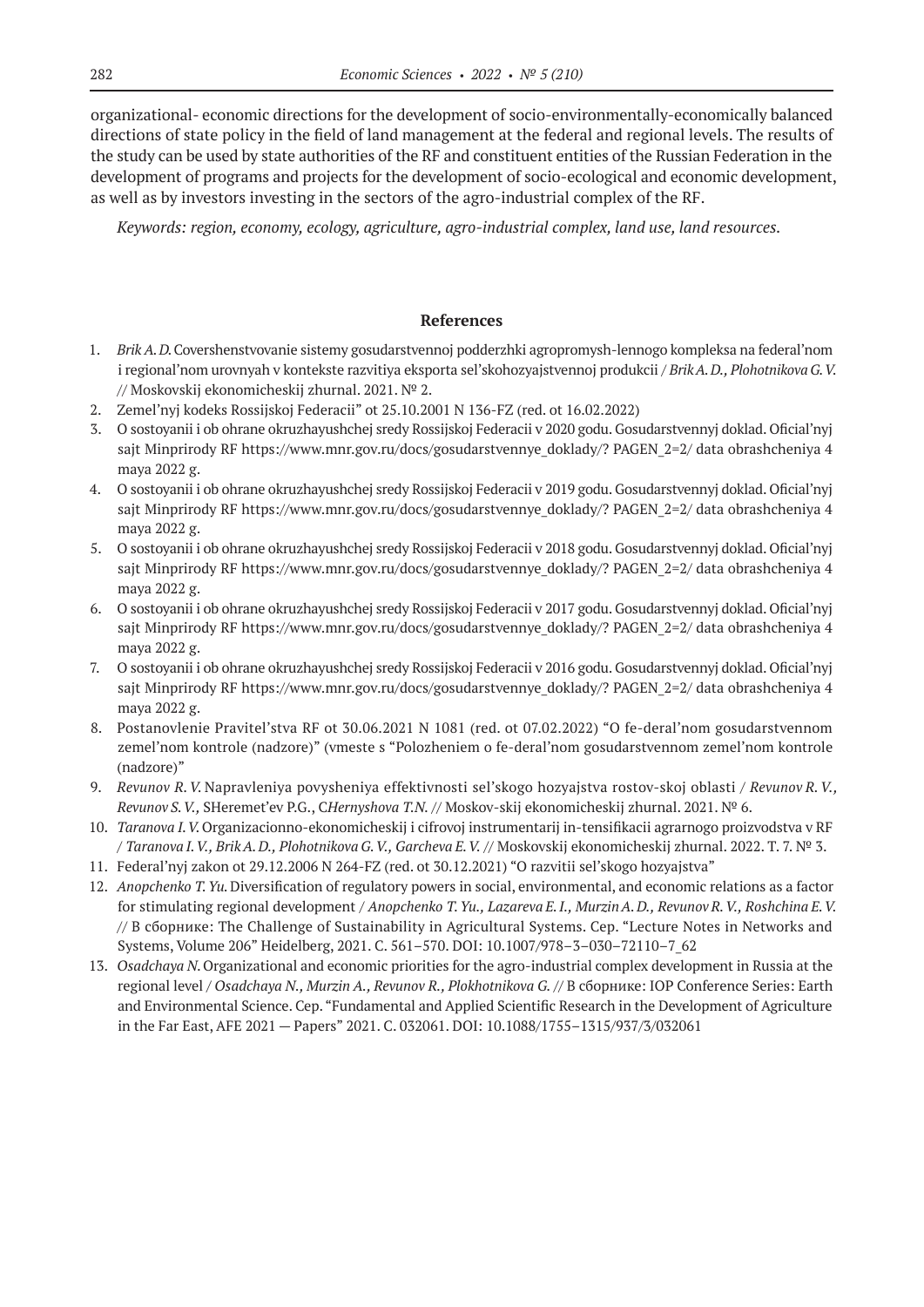organizational- economic directions for the development of socio-environmentally-economically balanced directions of state policy in the field of land management at the federal and regional levels. The results of the study can be used by state authorities of the RF and constituent entities of the Russian Federation in the development of programs and projects for the development of socio-ecological and economic development, as well as by investors investing in the sectors of the agro-industrial complex of the RF.

*Keywords: region, economy, ecology, agriculture, agro-industrial complex, land use, land resources.*

### **References**

- 1. *Brik A. D.*Covershenstvovanie sistemy gosudarstvennoj podderzhki agropromysh-lennogo kompleksa na federal'nom i regional'nom urovnyah v kontekste razvitiya eksporta sel'skohozyajstvennoj produkcii / *Brik A. D., Plohotnikova G.V.* // Moskovskij ekonomicheskij zhurnal. 2021. № 2.
- 2. Zemel'nyj kodeks Rossijskoj Federacii" ot 25.10.2001 N 136-FZ (red. ot 16.02.2022)
- 3. O sostoyanii i ob ohrane okruzhayushchej sredy Rossijskoj Federacii v 2020 godu. Gosudarstvennyj doklad. Oficial'nyj sajt Minprirody RF https://www.mnr.gov.ru/docs/gosudarstvennye\_doklady/? PAGEN\_2=2/ data obrashcheniya 4 maya 2022 g.
- 4. O sostoyanii i ob ohrane okruzhayushchej sredy Rossijskoj Federacii v 2019 godu. Gosudarstvennyj doklad. Oficial'nyj sajt Minprirody RF https://www.mnr.gov.ru/docs/gosudarstvennye\_doklady/? PAGEN\_2=2/ data obrashcheniya 4 maya 2022 g.
- 5. O sostoyanii i ob ohrane okruzhayushchej sredy Rossijskoj Federacii v 2018 godu. Gosudarstvennyj doklad. Oficial'nyj sajt Minprirody RF https://www.mnr.gov.ru/docs/gosudarstvennye\_doklady/? PAGEN\_2=2/ data obrashcheniya 4 maya 2022 g.
- 6. O sostoyanii i ob ohrane okruzhayushchej sredy Rossijskoj Federacii v 2017 godu. Gosudarstvennyj doklad. Oficial'nyj sajt Minprirody RF https://www.mnr.gov.ru/docs/gosudarstvennye\_doklady/? PAGEN\_2=2/ data obrashcheniya 4 maya 2022 g.
- 7. O sostoyanii i ob ohrane okruzhayushchej sredy Rossijskoj Federacii v 2016 godu. Gosudarstvennyj doklad. Oficial'nyj sajt Minprirody RF https://www.mnr.gov.ru/docs/gosudarstvennye\_doklady/? PAGEN\_2=2/ data obrashcheniya 4 maya 2022 g.
- 8. Postanovlenie Pravitel'stva RF ot 30.06.2021 N 1081 (red. ot 07.02.2022) "O fe-deral'nom gosudarstvennom zemel'nom kontrole (nadzore)" (vmeste s "Polozheniem o fe-deral'nom gosudarstvennom zemel'nom kontrole (nadzore)"
- 9. *Revunov R.V.* Napravleniya povysheniya effektivnosti sel'skogo hozyajstva rostov-skoj oblasti / *Revunov R.V., Revunov S.V.,* SHeremet'ev P.G., C*Hernyshova T.N.* // Moskov-skij ekonomicheskij zhurnal. 2021. № 6.
- 10. *Taranova I. V.*Organizacionno-ekonomicheskij i cifrovoj instrumentarij in-tensifikacii agrarnogo proizvodstva v RF / *Taranova I. V., Brik A. D., Plohotnikova G. V., Garcheva E. V.* // Moskovskij ekonomicheskij zhurnal. 2022. T. 7. № 3.
- 11. Federal'nyj zakon ot 29.12.2006 N 264-FZ (red. ot 30.12.2021) "O razvitii sel'skogo hozyajstva"
- 12. *Anopchenko T.Yu.*Diversification of regulatory powers in social, environmental, and economic relations as a factor for stimulating regional development / *Anopchenko T. Yu., Lazareva E. I., Murzin A. D., Revunov R. V., Roshchina E. V.* // В сборнике: The Challenge of Sustainability in Agricultural Systems. Сер. "Lecture Notes in Networks and Systems, Volume 206" Heidelberg, 2021. С. 561–570. DOI: 10.1007/978–3–030–72110–7\_62
- 13. *Osadchaya N.*Organizational and economic priorities for the agro-industrial complex development in Russia at the regional level / *Osadchaya N., Murzin A., Revunov R., Plokhotnikova G.* // В сборнике: IOP Conference Series: Earth and Environmental Science. Сер. "Fundamental and Applied Scientific Research in the Development of Agriculture in the Far East, AFE 2021 — Papers" 2021. С. 032061. DOI: 10.1088/1755–1315/937/3/032061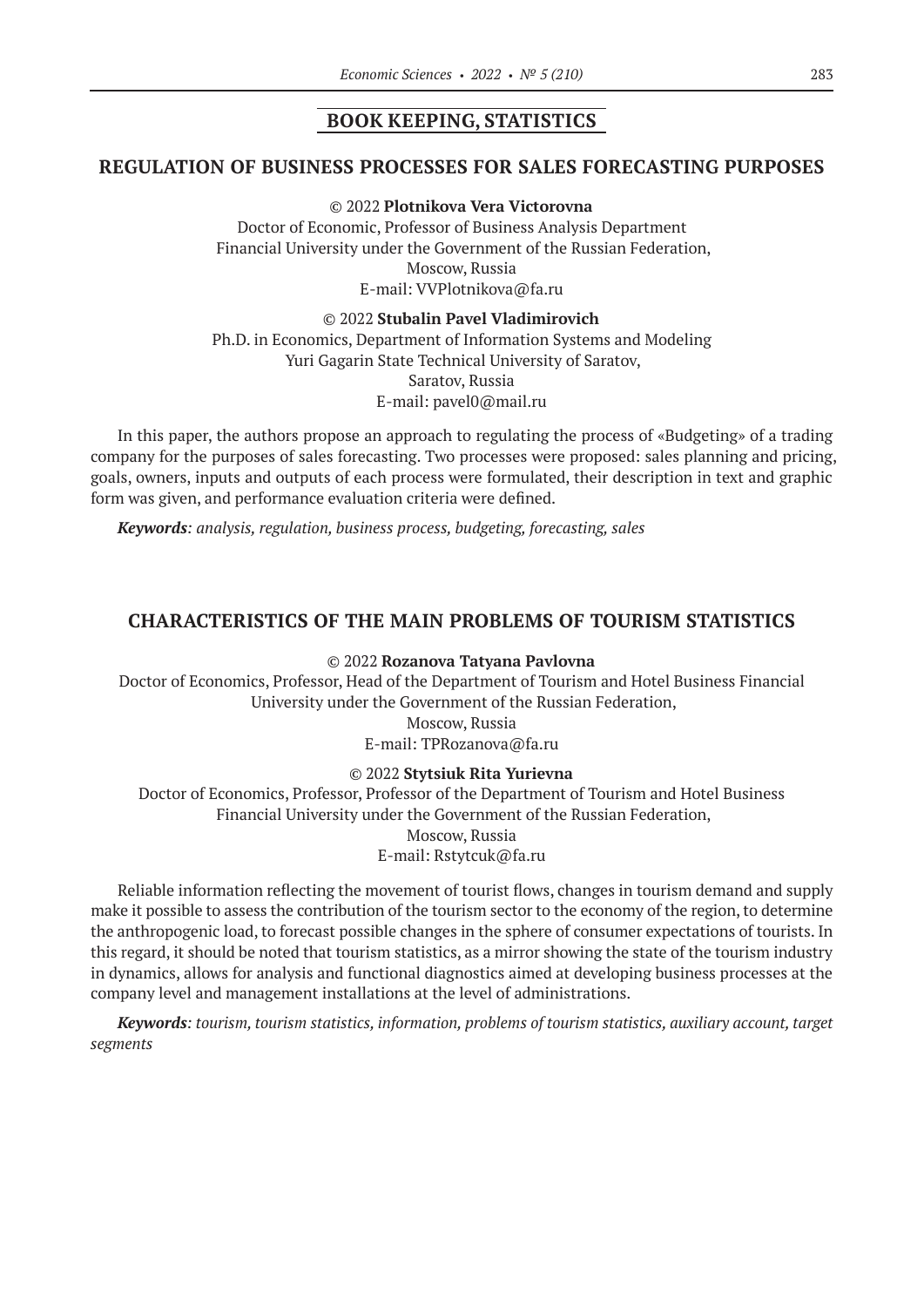### **BOOK KEEPING, STATISTICS**

### **REGULATION OF BUSINESS PROCESSES FOR SALES FORECASTING PURPOSES**

#### © 2022 **Plotnikova Vera Victorovna**

Doctor of Economic, Professor of Business Analysis Department Financial University under the Government of the Russian Federation, Moscow, Russia E-mail: VVPlotnikova@fa.ru

#### © 2022 **Stubalin Pavel Vladimirovich**

Ph.D. in Economics, Department of Information Systems and Modeling Yuri Gagarin State Technical University of Saratov, Saratov, Russia E-mail: pavel0@mail.ru

In this paper, the authors propose an approach to regulating the process of «Budgeting» of a trading company for the purposes of sales forecasting. Two processes were proposed: sales planning and pricing, goals, owners, inputs and outputs of each process were formulated, their description in text and graphic form was given, and performance evaluation criteria were defined.

*Keywords: analysis, regulation, business process, budgeting, forecasting, sales*

### **CHARACTERISTICS OF THE MAIN PROBLEMS OF TOURISM STATISTICS**

#### © 2022 **Rozanova Tatyana Pavlovna**

Doctor of Economics, Professor, Head of the Department of Tourism and Hotel Business Financial University under the Government of the Russian Federation,

> Moscow, Russia E-mail: TPRozanova@fa.ru

#### © 2022 **Stytsiuk Rita Yurievna**

Doctor of Economics, Professor, Professor of the Department of Tourism and Hotel Business Financial University under the Government of the Russian Federation, Moscow, Russia E-mail: Rstytcuk@fa.ru

Reliable information reflecting the movement of tourist flows, changes in tourism demand and supply make it possible to assess the contribution of the tourism sector to the economy of the region, to determine the anthropogenic load, to forecast possible changes in the sphere of consumer expectations of tourists. In this regard, it should be noted that tourism statistics, as a mirror showing the state of the tourism industry in dynamics, allows for analysis and functional diagnostics aimed at developing business processes at the company level and management installations at the level of administrations.

*Keywords: tourism, tourism statistics, information, problems of tourism statistics, auxiliary account, target segments*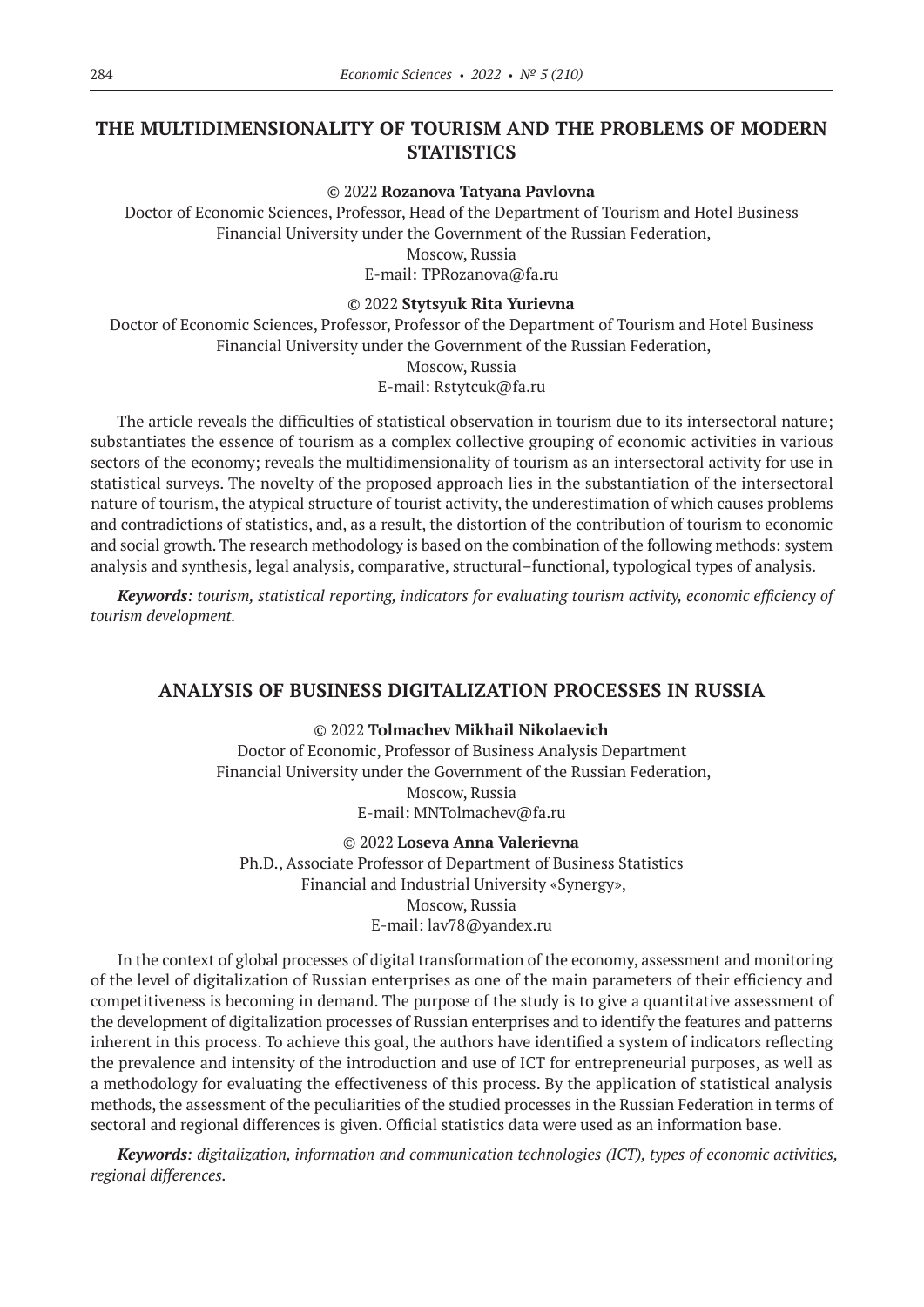# **THE MULTIDIMENSIONALITY OF TOURISM AND THE PROBLEMS OF MODERN STATISTICS**

#### © 2022 **Rozanova Tatyana Pavlovna**

Doctor of Economic Sciences, Professor, Head of the Department of Tourism and Hotel Business Financial University under the Government of the Russian Federation,

Moscow, Russia

E-mail: TPRozanova@fa.ru

#### © 2022 **Stytsyuk Rita Yurievna**

Doctor of Economic Sciences, Professor, Professor of the Department of Tourism and Hotel Business Financial University under the Government of the Russian Federation, Moscow, Russia

E-mail: Rstytcuk@fa.ru

The article reveals the difficulties of statistical observation in tourism due to its intersectoral nature; substantiates the essence of tourism as a complex collective grouping of economic activities in various sectors of the economy; reveals the multidimensionality of tourism as an intersectoral activity for use in statistical surveys. The novelty of the proposed approach lies in the substantiation of the intersectoral nature of tourism, the atypical structure of tourist activity, the underestimation of which causes problems and contradictions of statistics, and, as a result, the distortion of the contribution of tourism to economic and social growth. The research methodology is based on the combination of the following methods: system analysis and synthesis, legal analysis, comparative, structural–functional, typological types of analysis.

*Keywords: tourism, statistical reporting, indicators for evaluating tourism activity, economic efficiency of tourism development.*

### **ANALYSIS OF BUSINESS DIGITALIZATION PROCESSES IN RUSSIA**

#### © 2022 **Tolmachev Mikhail Nikolaevich**

Doctor of Economic, Professor of Business Analysis Department Financial University under the Government of the Russian Federation, Moscow, Russia E-mail: MNTolmachev@fa.ru

© 2022 **Loseva Anna Valerievna** Ph.D., Associate Professor of Department of Business Statistics Financial and Industrial University «Synergy», Moscow, Russia E-mail: lav78@yandex.ru

In the context of global processes of digital transformation of the economy, assessment and monitoring of the level of digitalization of Russian enterprises as one of the main parameters of their efficiency and competitiveness is becoming in demand. The purpose of the study is to give a quantitative assessment of the development of digitalization processes of Russian enterprises and to identify the features and patterns inherent in this process. To achieve this goal, the authors have identified a system of indicators reflecting the prevalence and intensity of the introduction and use of ICT for entrepreneurial purposes, as well as a methodology for evaluating the effectiveness of this process. By the application of statistical analysis methods, the assessment of the peculiarities of the studied processes in the Russian Federation in terms of sectoral and regional differences is given. Official statistics data were used as an information base.

*Keywords: digitalization, information and communication technologies (ICT), types of economic activities, regional differences.*